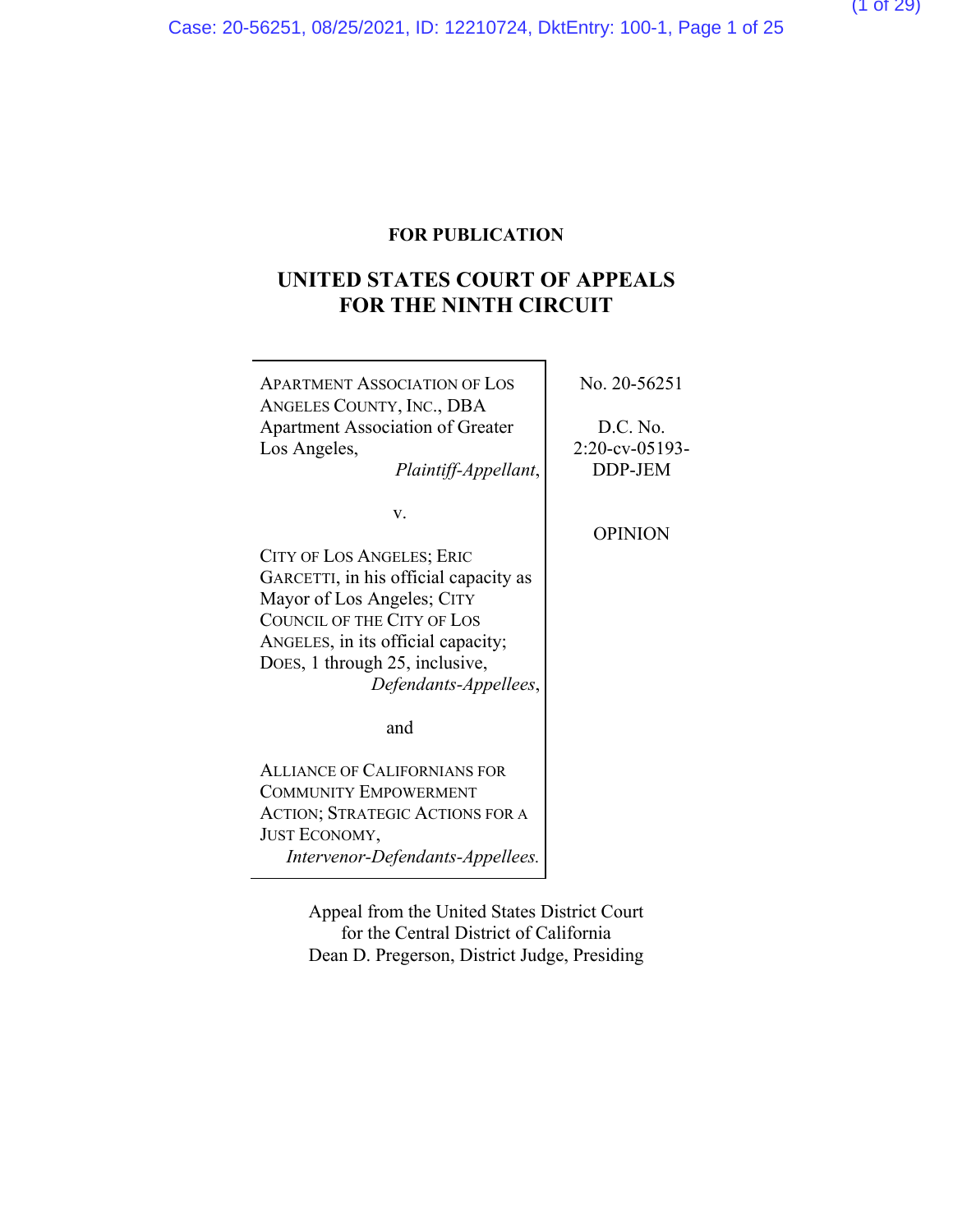## **UNITED STATES COURT OF APPEALS FOR THE NINTH CIRCUIT**

| No. 20-56251<br><b>APARTMENT ASSOCIATION OF LOS</b><br>ANGELES COUNTY, INC., DBA<br>D.C. No.<br><b>Apartment Association of Greater</b><br>$2:20$ -cv-05193-<br>Los Angeles,<br>DDP-JEM<br>Plaintiff-Appellant,                                                |  |
|----------------------------------------------------------------------------------------------------------------------------------------------------------------------------------------------------------------------------------------------------------------|--|
| V.<br><b>OPINION</b><br>CITY OF LOS ANGELES; ERIC<br>GARCETTI, in his official capacity as<br>Mayor of Los Angeles; CITY<br><b>COUNCIL OF THE CITY OF LOS</b><br>ANGELES, in its official capacity;<br>DOES, 1 through 25, inclusive,<br>Defendants-Appellees, |  |
| and                                                                                                                                                                                                                                                            |  |
| <b>ALLIANCE OF CALIFORNIANS FOR</b><br><b>COMMUNITY EMPOWERMENT</b>                                                                                                                                                                                            |  |
| <b>ACTION; STRATEGIC ACTIONS FOR A</b>                                                                                                                                                                                                                         |  |
| JUST ECONOMY,                                                                                                                                                                                                                                                  |  |
| Intervenor-Defendants-Appellees.                                                                                                                                                                                                                               |  |

Appeal from the United States District Court for the Central District of California Dean D. Pregerson, District Judge, Presiding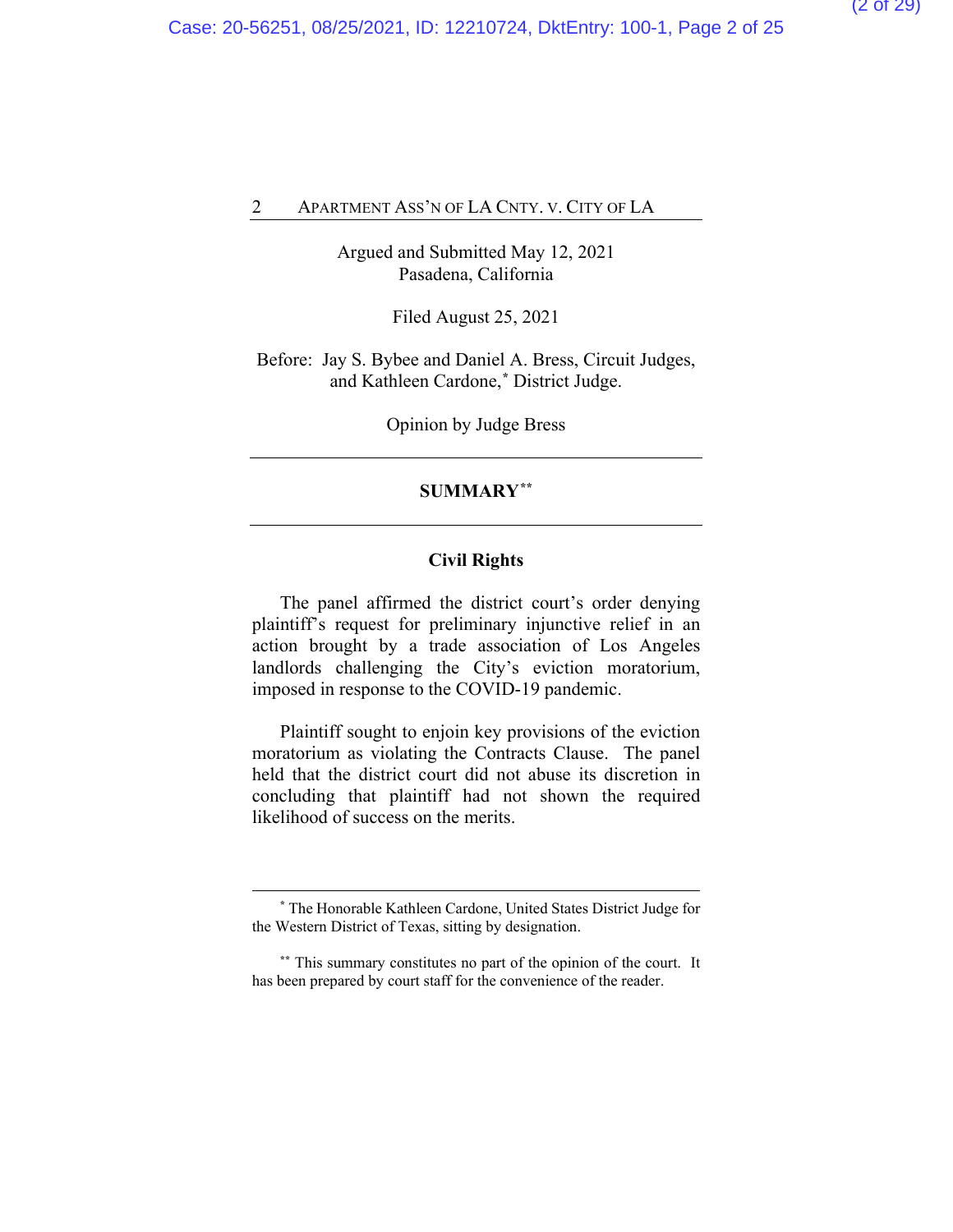Argued and Submitted May 12, 2021 Pasadena, California

Filed August 25, 2021

Before: Jay S. Bybee and Daniel A. Bress, Circuit Judges, and Kathleen Cardone,**[\\*](#page-23-0)** District Judge.

Opinion by Judge Bress

#### **SUMMARY[\\*\\*](#page-23-0)**

### **Civil Rights**

The panel affirmed the district court's order denying plaintiff's request for preliminary injunctive relief in an action brought by a trade association of Los Angeles landlords challenging the City's eviction moratorium, imposed in response to the COVID-19 pandemic.

Plaintiff sought to enjoin key provisions of the eviction moratorium as violating the Contracts Clause. The panel held that the district court did not abuse its discretion in concluding that plaintiff had not shown the required likelihood of success on the merits.

**<sup>\*</sup>** The Honorable Kathleen Cardone, United States District Judge for the Western District of Texas, sitting by designation.

**<sup>\*\*</sup>** This summary constitutes no part of the opinion of the court. It has been prepared by court staff for the convenience of the reader.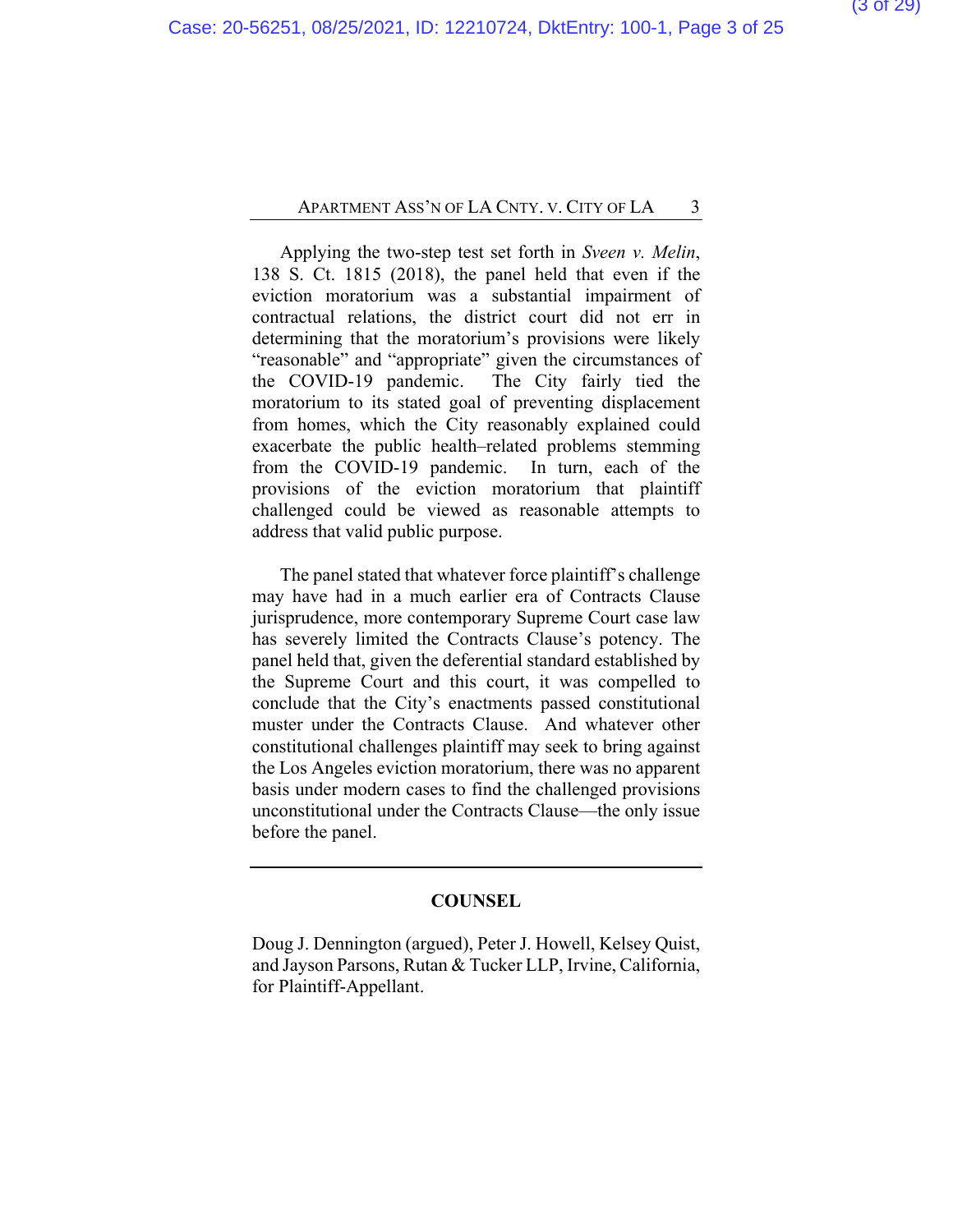Applying the two-step test set forth in *Sveen v. Melin*, 138 S. Ct. 1815 (2018), the panel held that even if the eviction moratorium was a substantial impairment of contractual relations, the district court did not err in determining that the moratorium's provisions were likely "reasonable" and "appropriate" given the circumstances of the COVID-19 pandemic. The City fairly tied the moratorium to its stated goal of preventing displacement from homes, which the City reasonably explained could exacerbate the public health–related problems stemming from the COVID-19 pandemic. In turn, each of the provisions of the eviction moratorium that plaintiff challenged could be viewed as reasonable attempts to address that valid public purpose.

The panel stated that whatever force plaintiff's challenge may have had in a much earlier era of Contracts Clause jurisprudence, more contemporary Supreme Court case law has severely limited the Contracts Clause's potency. The panel held that, given the deferential standard established by the Supreme Court and this court, it was compelled to conclude that the City's enactments passed constitutional muster under the Contracts Clause. And whatever other constitutional challenges plaintiff may seek to bring against the Los Angeles eviction moratorium, there was no apparent basis under modern cases to find the challenged provisions unconstitutional under the Contracts Clause—the only issue before the panel.

#### **COUNSEL**

Doug J. Dennington (argued), Peter J. Howell, Kelsey Quist, and Jayson Parsons, Rutan & Tucker LLP, Irvine, California, for Plaintiff-Appellant.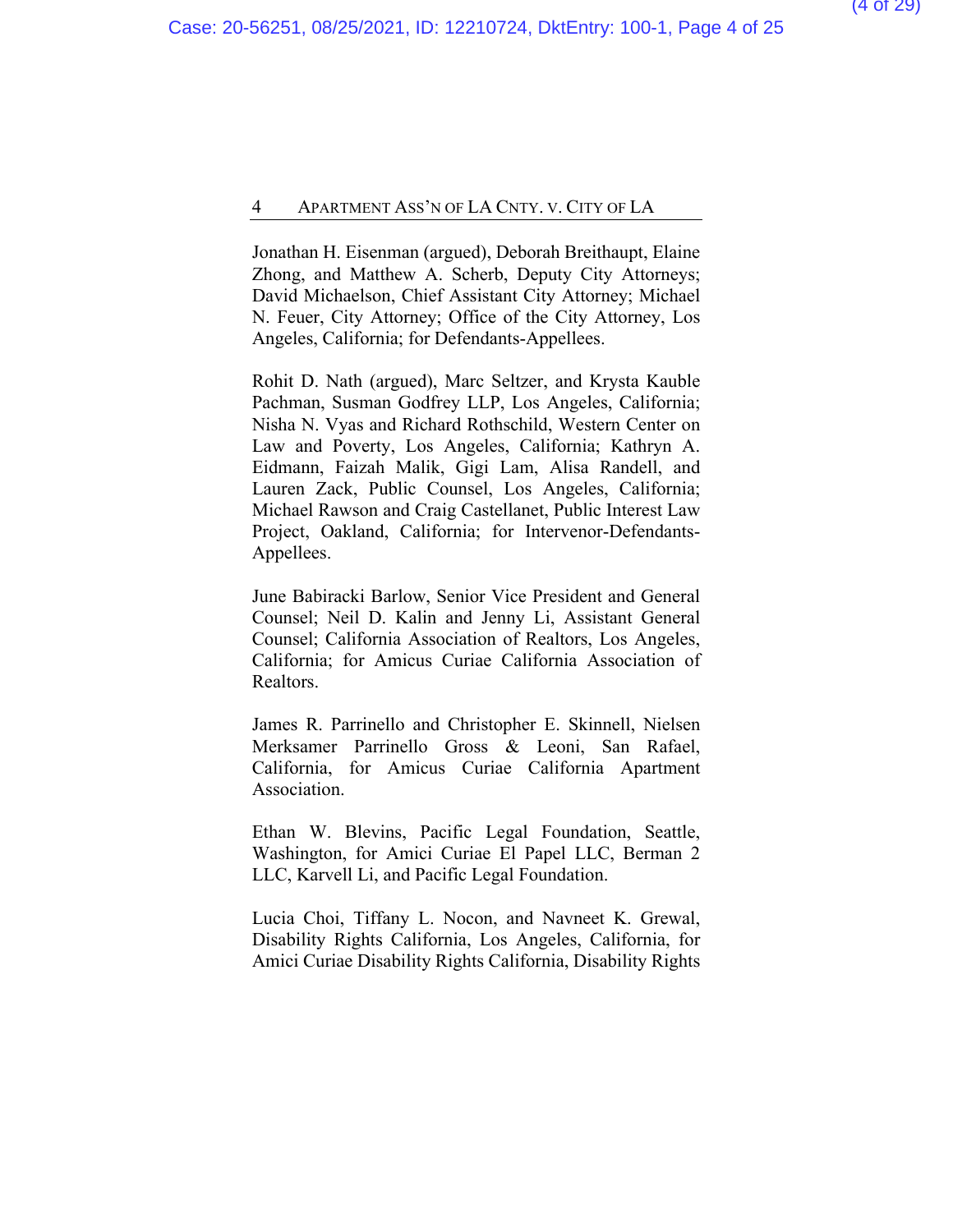Jonathan H. Eisenman (argued), Deborah Breithaupt, Elaine Zhong, and Matthew A. Scherb, Deputy City Attorneys; David Michaelson, Chief Assistant City Attorney; Michael N. Feuer, City Attorney; Office of the City Attorney, Los Angeles, California; for Defendants-Appellees.

Rohit D. Nath (argued), Marc Seltzer, and Krysta Kauble Pachman, Susman Godfrey LLP, Los Angeles, California; Nisha N. Vyas and Richard Rothschild, Western Center on Law and Poverty, Los Angeles, California; Kathryn A. Eidmann, Faizah Malik, Gigi Lam, Alisa Randell, and Lauren Zack, Public Counsel, Los Angeles, California; Michael Rawson and Craig Castellanet, Public Interest Law Project, Oakland, California; for Intervenor-Defendants-Appellees.

June Babiracki Barlow, Senior Vice President and General Counsel; Neil D. Kalin and Jenny Li, Assistant General Counsel; California Association of Realtors, Los Angeles, California; for Amicus Curiae California Association of Realtors.

James R. Parrinello and Christopher E. Skinnell, Nielsen Merksamer Parrinello Gross & Leoni, San Rafael, California, for Amicus Curiae California Apartment Association.

Ethan W. Blevins, Pacific Legal Foundation, Seattle, Washington, for Amici Curiae El Papel LLC, Berman 2 LLC, Karvell Li, and Pacific Legal Foundation.

Lucia Choi, Tiffany L. Nocon, and Navneet K. Grewal, Disability Rights California, Los Angeles, California, for Amici Curiae Disability Rights California, Disability Rights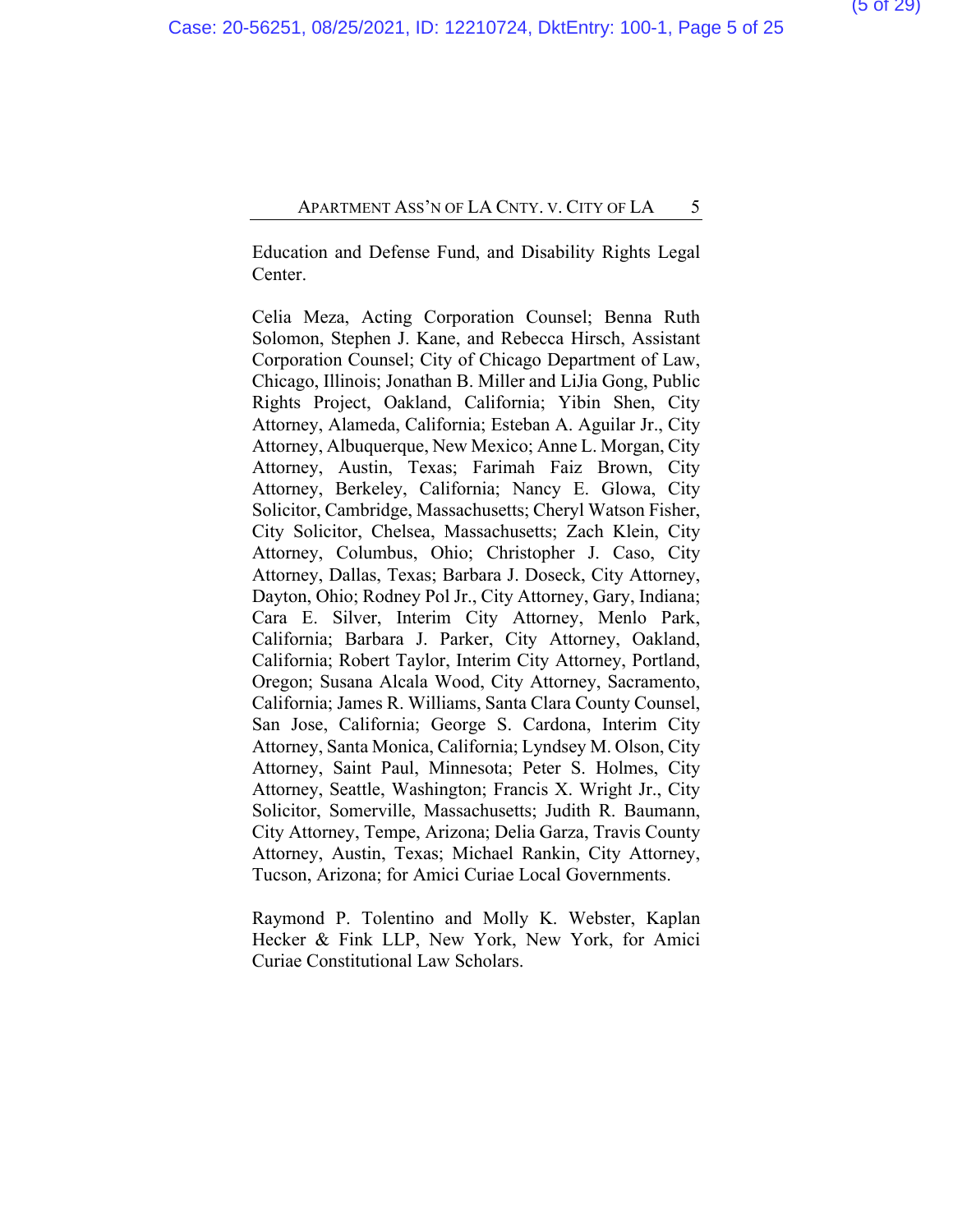Education and Defense Fund, and Disability Rights Legal Center.

Celia Meza, Acting Corporation Counsel; Benna Ruth Solomon, Stephen J. Kane, and Rebecca Hirsch, Assistant Corporation Counsel; City of Chicago Department of Law, Chicago, Illinois; Jonathan B. Miller and LiJia Gong, Public Rights Project, Oakland, California; Yibin Shen, City Attorney, Alameda, California; Esteban A. Aguilar Jr., City Attorney, Albuquerque, New Mexico; Anne L. Morgan, City Attorney, Austin, Texas; Farimah Faiz Brown, City Attorney, Berkeley, California; Nancy E. Glowa, City Solicitor, Cambridge, Massachusetts; Cheryl Watson Fisher, City Solicitor, Chelsea, Massachusetts; Zach Klein, City Attorney, Columbus, Ohio; Christopher J. Caso, City Attorney, Dallas, Texas; Barbara J. Doseck, City Attorney, Dayton, Ohio; Rodney Pol Jr., City Attorney, Gary, Indiana; Cara E. Silver, Interim City Attorney, Menlo Park, California; Barbara J. Parker, City Attorney, Oakland, California; Robert Taylor, Interim City Attorney, Portland, Oregon; Susana Alcala Wood, City Attorney, Sacramento, California; James R. Williams, Santa Clara County Counsel, San Jose, California; George S. Cardona, Interim City Attorney, Santa Monica, California; Lyndsey M. Olson, City Attorney, Saint Paul, Minnesota; Peter S. Holmes, City Attorney, Seattle, Washington; Francis X. Wright Jr., City Solicitor, Somerville, Massachusetts; Judith R. Baumann, City Attorney, Tempe, Arizona; Delia Garza, Travis County Attorney, Austin, Texas; Michael Rankin, City Attorney, Tucson, Arizona; for Amici Curiae Local Governments.

Raymond P. Tolentino and Molly K. Webster, Kaplan Hecker & Fink LLP, New York, New York, for Amici Curiae Constitutional Law Scholars.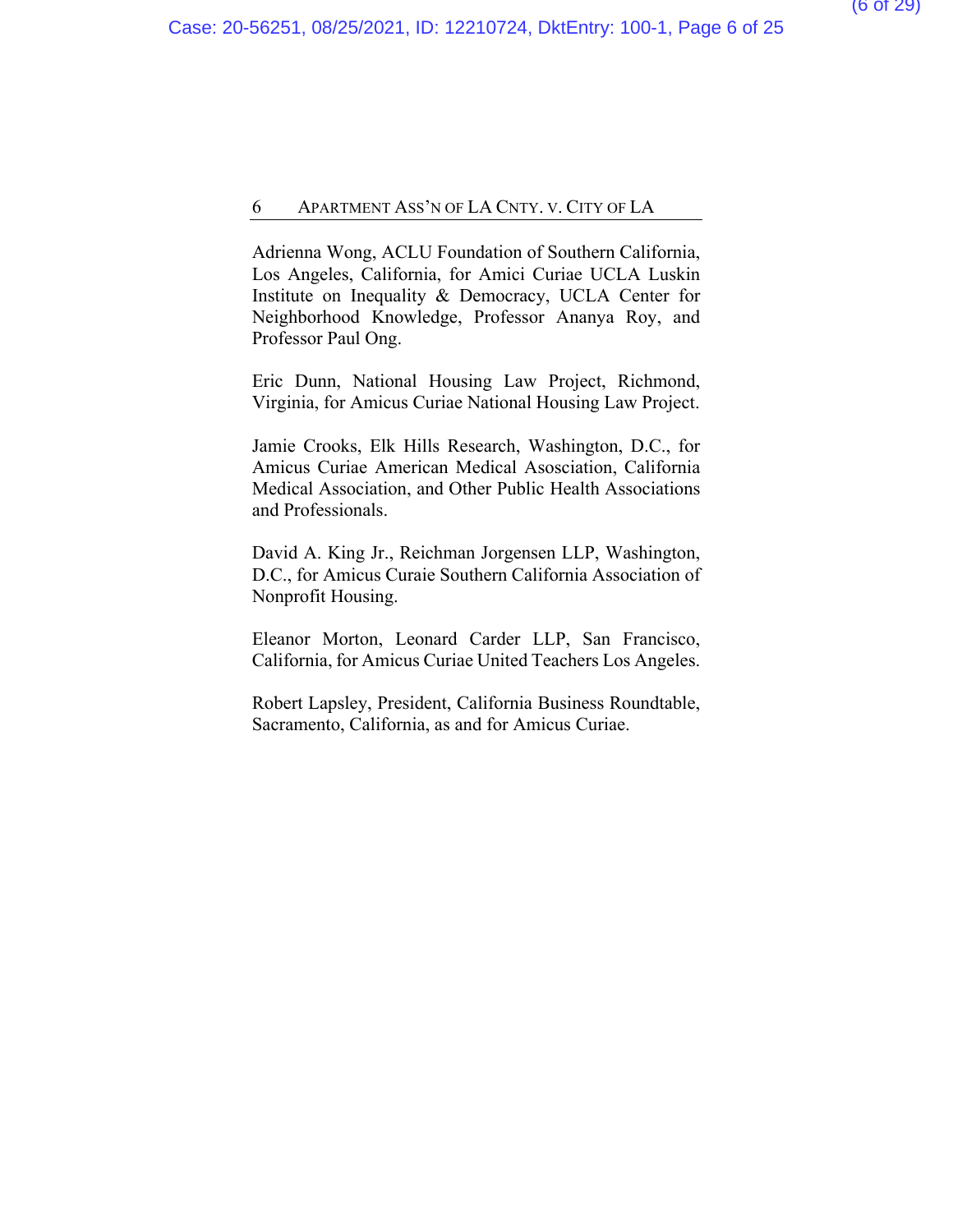Adrienna Wong, ACLU Foundation of Southern California, Los Angeles, California, for Amici Curiae UCLA Luskin Institute on Inequality & Democracy, UCLA Center for Neighborhood Knowledge, Professor Ananya Roy, and Professor Paul Ong.

Eric Dunn, National Housing Law Project, Richmond, Virginia, for Amicus Curiae National Housing Law Project.

Jamie Crooks, Elk Hills Research, Washington, D.C., for Amicus Curiae American Medical Asosciation, California Medical Association, and Other Public Health Associations and Professionals.

David A. King Jr., Reichman Jorgensen LLP, Washington, D.C., for Amicus Curaie Southern California Association of Nonprofit Housing.

Eleanor Morton, Leonard Carder LLP, San Francisco, California, for Amicus Curiae United Teachers Los Angeles.

Robert Lapsley, President, California Business Roundtable, Sacramento, California, as and for Amicus Curiae.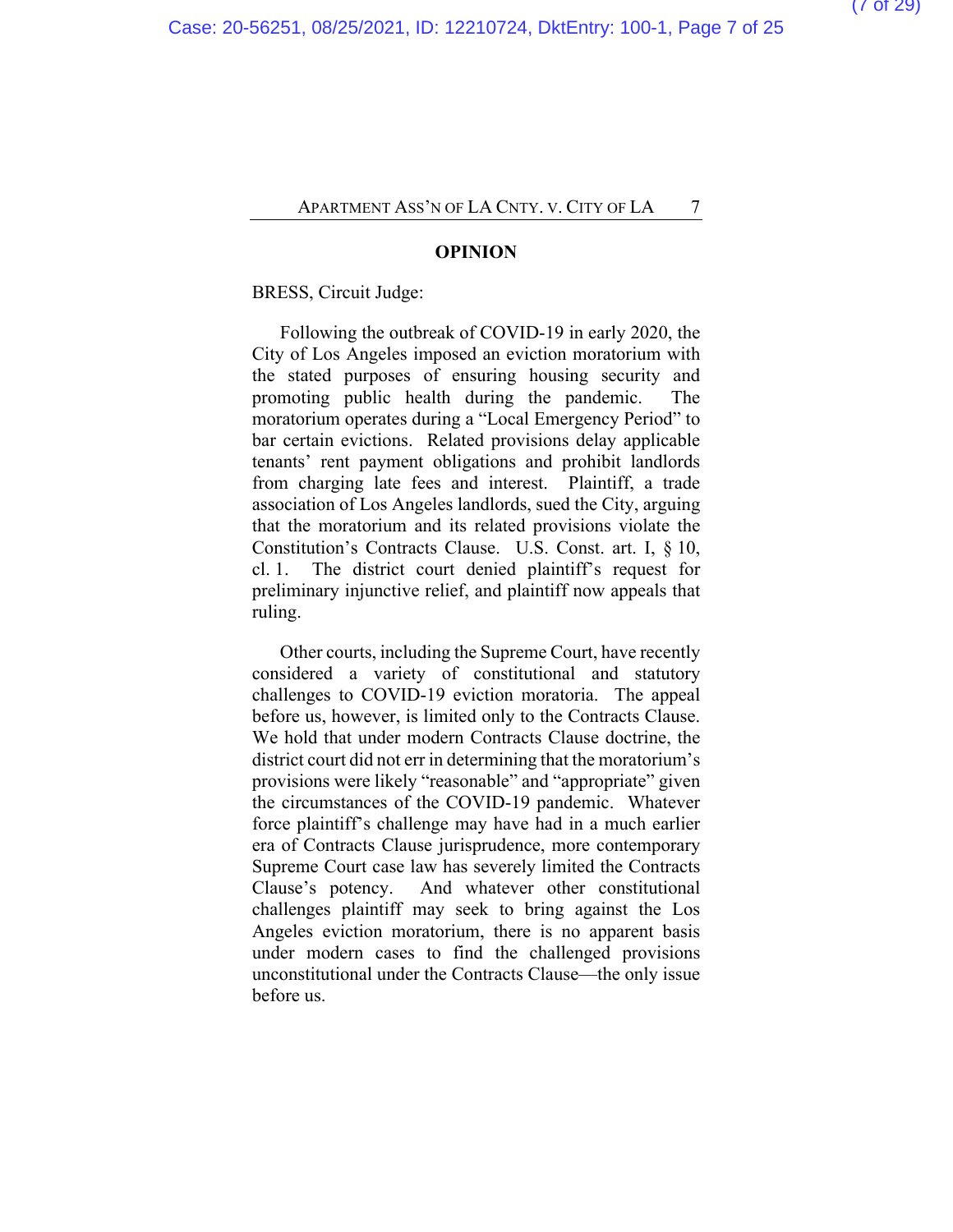#### **OPINION**

BRESS, Circuit Judge:

Following the outbreak of COVID-19 in early 2020, the City of Los Angeles imposed an eviction moratorium with the stated purposes of ensuring housing security and promoting public health during the pandemic. The moratorium operates during a "Local Emergency Period" to bar certain evictions. Related provisions delay applicable tenants' rent payment obligations and prohibit landlords from charging late fees and interest. Plaintiff, a trade association of Los Angeles landlords, sued the City, arguing that the moratorium and its related provisions violate the Constitution's Contracts Clause. U.S. Const. art. I, § 10, cl. 1. The district court denied plaintiff's request for preliminary injunctive relief, and plaintiff now appeals that ruling.

Other courts, including the Supreme Court, have recently considered a variety of constitutional and statutory challenges to COVID-19 eviction moratoria. The appeal before us, however, is limited only to the Contracts Clause. We hold that under modern Contracts Clause doctrine, the district court did not err in determining that the moratorium's provisions were likely "reasonable" and "appropriate" given the circumstances of the COVID-19 pandemic. Whatever force plaintiff's challenge may have had in a much earlier era of Contracts Clause jurisprudence, more contemporary Supreme Court case law has severely limited the Contracts Clause's potency. And whatever other constitutional challenges plaintiff may seek to bring against the Los Angeles eviction moratorium, there is no apparent basis under modern cases to find the challenged provisions unconstitutional under the Contracts Clause—the only issue before us.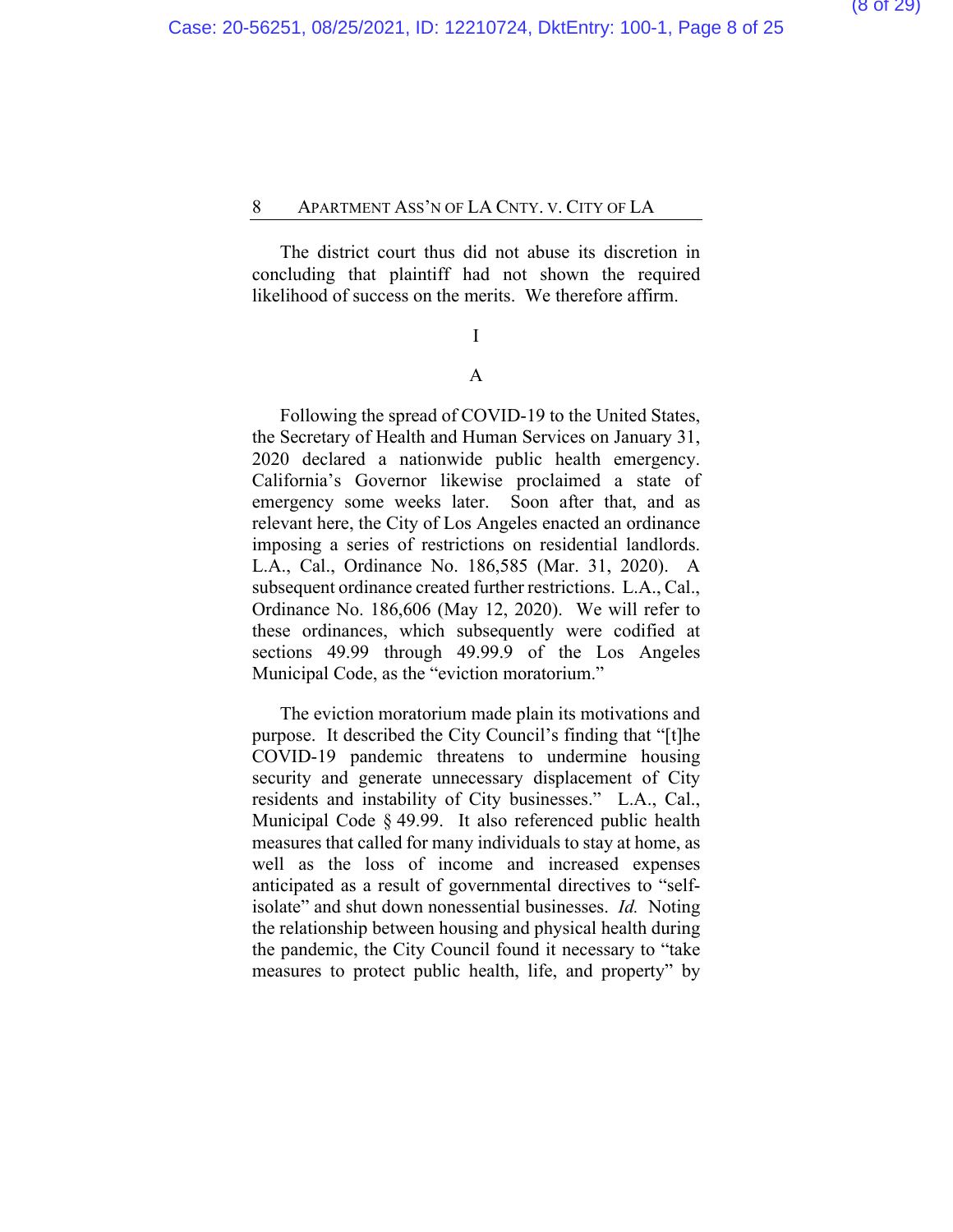The district court thus did not abuse its discretion in concluding that plaintiff had not shown the required likelihood of success on the merits. We therefore affirm.

### I

### A

Following the spread of COVID-19 to the United States, the Secretary of Health and Human Services on January 31, 2020 declared a nationwide public health emergency. California's Governor likewise proclaimed a state of emergency some weeks later. Soon after that, and as relevant here, the City of Los Angeles enacted an ordinance imposing a series of restrictions on residential landlords. L.A., Cal., Ordinance No. 186,585 (Mar. 31, 2020). A subsequent ordinance created further restrictions. L.A., Cal., Ordinance No. 186,606 (May 12, 2020). We will refer to these ordinances, which subsequently were codified at sections 49.99 through 49.99.9 of the Los Angeles Municipal Code, as the "eviction moratorium."

The eviction moratorium made plain its motivations and purpose. It described the City Council's finding that "[t]he COVID-19 pandemic threatens to undermine housing security and generate unnecessary displacement of City residents and instability of City businesses." L.A., Cal., Municipal Code § 49.99. It also referenced public health measures that called for many individuals to stay at home, as well as the loss of income and increased expenses anticipated as a result of governmental directives to "selfisolate" and shut down nonessential businesses. *Id.* Noting the relationship between housing and physical health during the pandemic, the City Council found it necessary to "take measures to protect public health, life, and property" by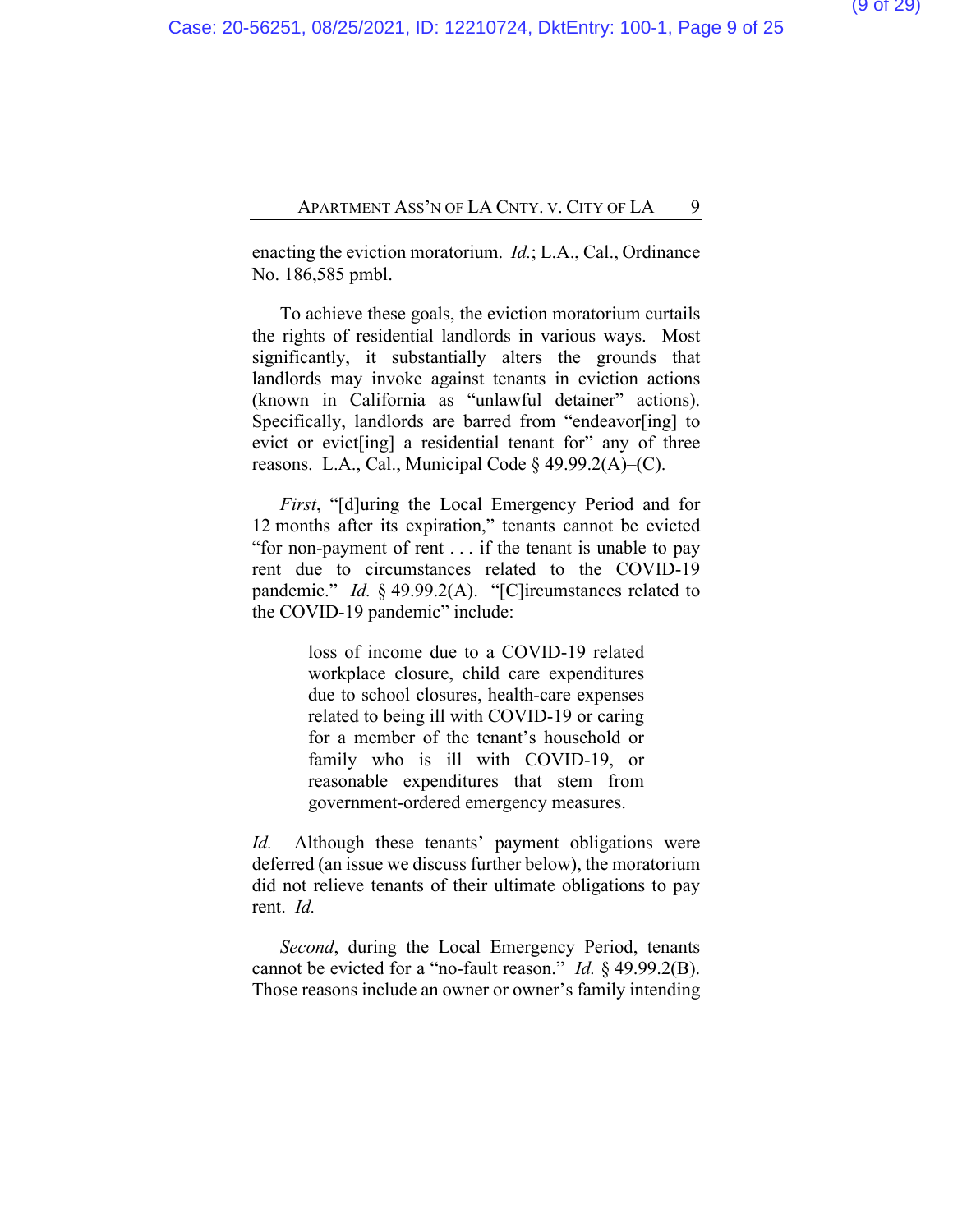enacting the eviction moratorium. *Id.*; L.A., Cal., Ordinance No. 186,585 pmbl.

To achieve these goals, the eviction moratorium curtails the rights of residential landlords in various ways. Most significantly, it substantially alters the grounds that landlords may invoke against tenants in eviction actions (known in California as "unlawful detainer" actions). Specifically, landlords are barred from "endeavor[ing] to evict or evict[ing] a residential tenant for" any of three reasons. L.A., Cal., Municipal Code  $\S$  49.99.2(A)–(C).

*First*, "[d]uring the Local Emergency Period and for 12 months after its expiration," tenants cannot be evicted "for non-payment of rent . . . if the tenant is unable to pay rent due to circumstances related to the COVID-19 pandemic." *Id.* § 49.99.2(A). "[C]ircumstances related to the COVID-19 pandemic" include:

> loss of income due to a COVID-19 related workplace closure, child care expenditures due to school closures, health-care expenses related to being ill with COVID-19 or caring for a member of the tenant's household or family who is ill with COVID-19, or reasonable expenditures that stem from government-ordered emergency measures.

*Id.* Although these tenants' payment obligations were deferred (an issue we discuss further below), the moratorium did not relieve tenants of their ultimate obligations to pay rent. *Id.*

*Second*, during the Local Emergency Period, tenants cannot be evicted for a "no-fault reason." *Id.* § 49.99.2(B). Those reasons include an owner or owner's family intending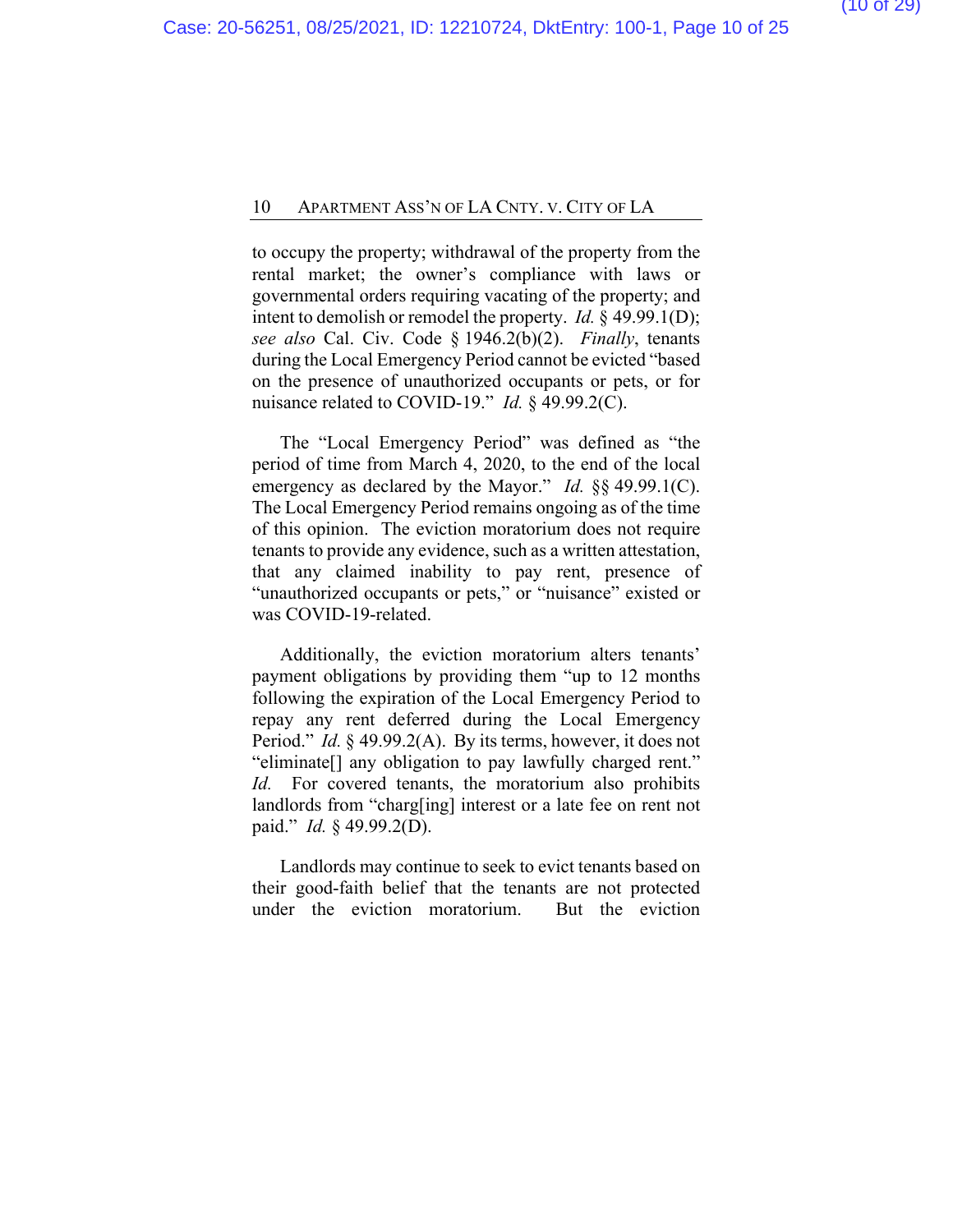to occupy the property; withdrawal of the property from the rental market; the owner's compliance with laws or governmental orders requiring vacating of the property; and intent to demolish or remodel the property. *Id.* § 49.99.1(D); *see also* Cal. Civ. Code § 1946.2(b)(2). *Finally*, tenants during the Local Emergency Period cannot be evicted "based on the presence of unauthorized occupants or pets, or for nuisance related to COVID-19." *Id.* § 49.99.2(C).

The "Local Emergency Period" was defined as "the period of time from March 4, 2020, to the end of the local emergency as declared by the Mayor." *Id.* §§ 49.99.1(C). The Local Emergency Period remains ongoing as of the time of this opinion. The eviction moratorium does not require tenants to provide any evidence, such as a written attestation, that any claimed inability to pay rent, presence of "unauthorized occupants or pets," or "nuisance" existed or was COVID-19-related.

Additionally, the eviction moratorium alters tenants' payment obligations by providing them "up to 12 months following the expiration of the Local Emergency Period to repay any rent deferred during the Local Emergency Period." *Id.* § 49.99.2(A). By its terms, however, it does not "eliminate[] any obligation to pay lawfully charged rent." *Id.* For covered tenants, the moratorium also prohibits landlords from "charg[ing] interest or a late fee on rent not paid." *Id.* § 49.99.2(D).

Landlords may continue to seek to evict tenants based on their good-faith belief that the tenants are not protected under the eviction moratorium. But the eviction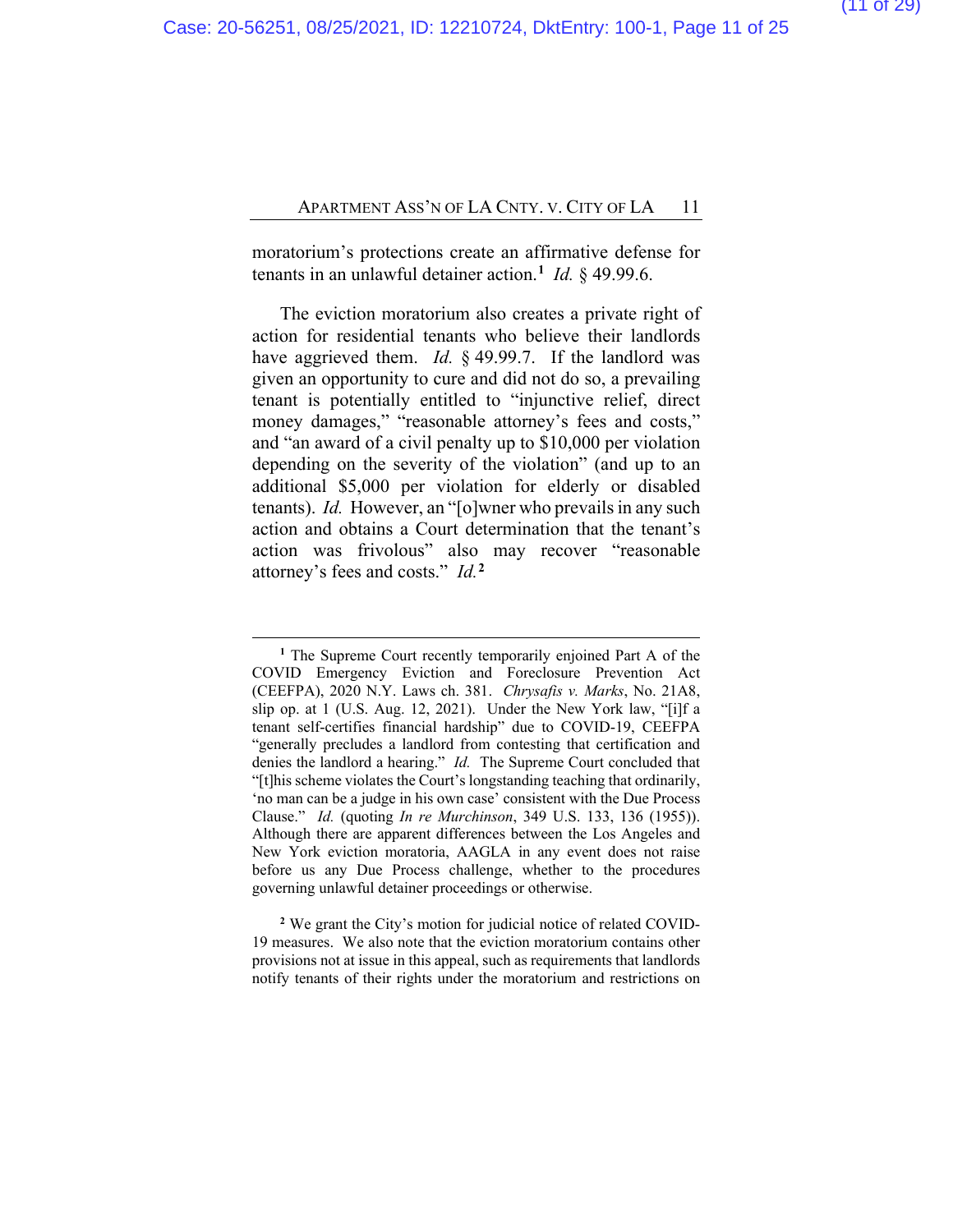moratorium's protections create an affirmative defense for tenants in an unlawful detainer action.**[1](#page-23-0)** *Id.* § 49.99.6.

The eviction moratorium also creates a private right of action for residential tenants who believe their landlords have aggrieved them. *Id.* § 49.99.7. If the landlord was given an opportunity to cure and did not do so, a prevailing tenant is potentially entitled to "injunctive relief, direct money damages," "reasonable attorney's fees and costs," and "an award of a civil penalty up to \$10,000 per violation depending on the severity of the violation" (and up to an additional \$5,000 per violation for elderly or disabled tenants). *Id.* However, an "[o]wner who prevails in any such action and obtains a Court determination that the tenant's action was frivolous" also may recover "reasonable attorney's fees and costs." *Id.***[2](#page-23-0)**

**<sup>2</sup>** We grant the City's motion for judicial notice of related COVID-19 measures. We also note that the eviction moratorium contains other provisions not at issue in this appeal, such as requirements that landlords notify tenants of their rights under the moratorium and restrictions on

**<sup>1</sup>** The Supreme Court recently temporarily enjoined Part A of the COVID Emergency Eviction and Foreclosure Prevention Act (CEEFPA), 2020 N.Y. Laws ch. 381. *Chrysafis v. Marks*, No. 21A8, slip op. at 1 (U.S. Aug. 12, 2021). Under the New York law, "[i]f a tenant self-certifies financial hardship" due to COVID-19, CEEFPA "generally precludes a landlord from contesting that certification and denies the landlord a hearing." *Id.* The Supreme Court concluded that "[t]his scheme violates the Court's longstanding teaching that ordinarily, 'no man can be a judge in his own case' consistent with the Due Process Clause." *Id.* (quoting *In re Murchinson*, 349 U.S. 133, 136 (1955)). Although there are apparent differences between the Los Angeles and New York eviction moratoria, AAGLA in any event does not raise before us any Due Process challenge, whether to the procedures governing unlawful detainer proceedings or otherwise.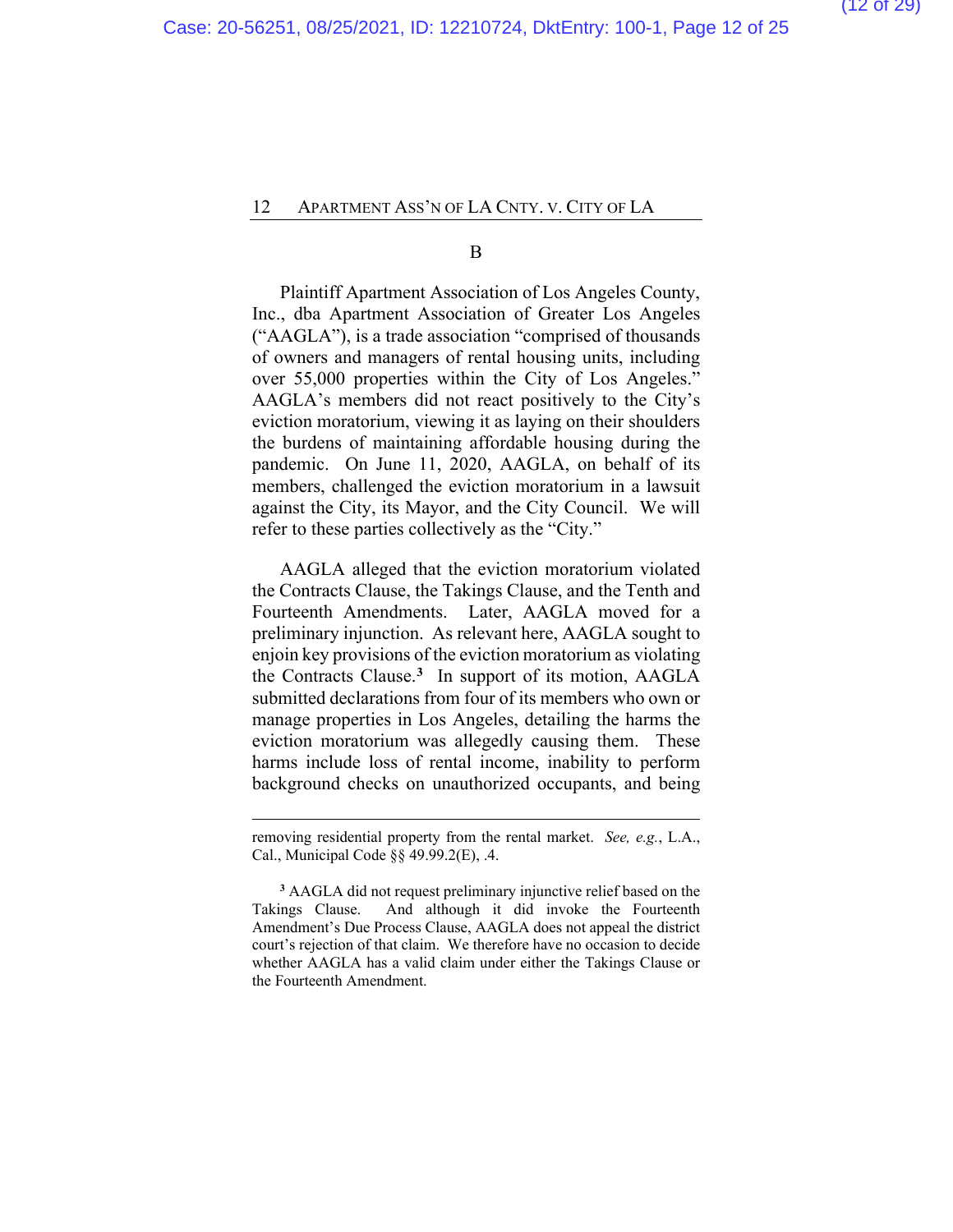B

Plaintiff Apartment Association of Los Angeles County, Inc., dba Apartment Association of Greater Los Angeles ("AAGLA"), is a trade association "comprised of thousands of owners and managers of rental housing units, including over 55,000 properties within the City of Los Angeles." AAGLA's members did not react positively to the City's eviction moratorium, viewing it as laying on their shoulders the burdens of maintaining affordable housing during the pandemic. On June 11, 2020, AAGLA, on behalf of its members, challenged the eviction moratorium in a lawsuit against the City, its Mayor, and the City Council. We will refer to these parties collectively as the "City."

AAGLA alleged that the eviction moratorium violated the Contracts Clause, the Takings Clause, and the Tenth and Fourteenth Amendments. Later, AAGLA moved for a preliminary injunction. As relevant here, AAGLA sought to enjoin key provisions of the eviction moratorium as violating the Contracts Clause.**[3](#page-23-0)** In support of its motion, AAGLA submitted declarations from four of its members who own or manage properties in Los Angeles, detailing the harms the eviction moratorium was allegedly causing them. These harms include loss of rental income, inability to perform background checks on unauthorized occupants, and being

removing residential property from the rental market. *See, e.g.*, L.A., Cal., Municipal Code §§ 49.99.2(E), .4.

**<sup>3</sup>** AAGLA did not request preliminary injunctive relief based on the Takings Clause. And although it did invoke the Fourteenth Amendment's Due Process Clause, AAGLA does not appeal the district court's rejection of that claim. We therefore have no occasion to decide whether AAGLA has a valid claim under either the Takings Clause or the Fourteenth Amendment.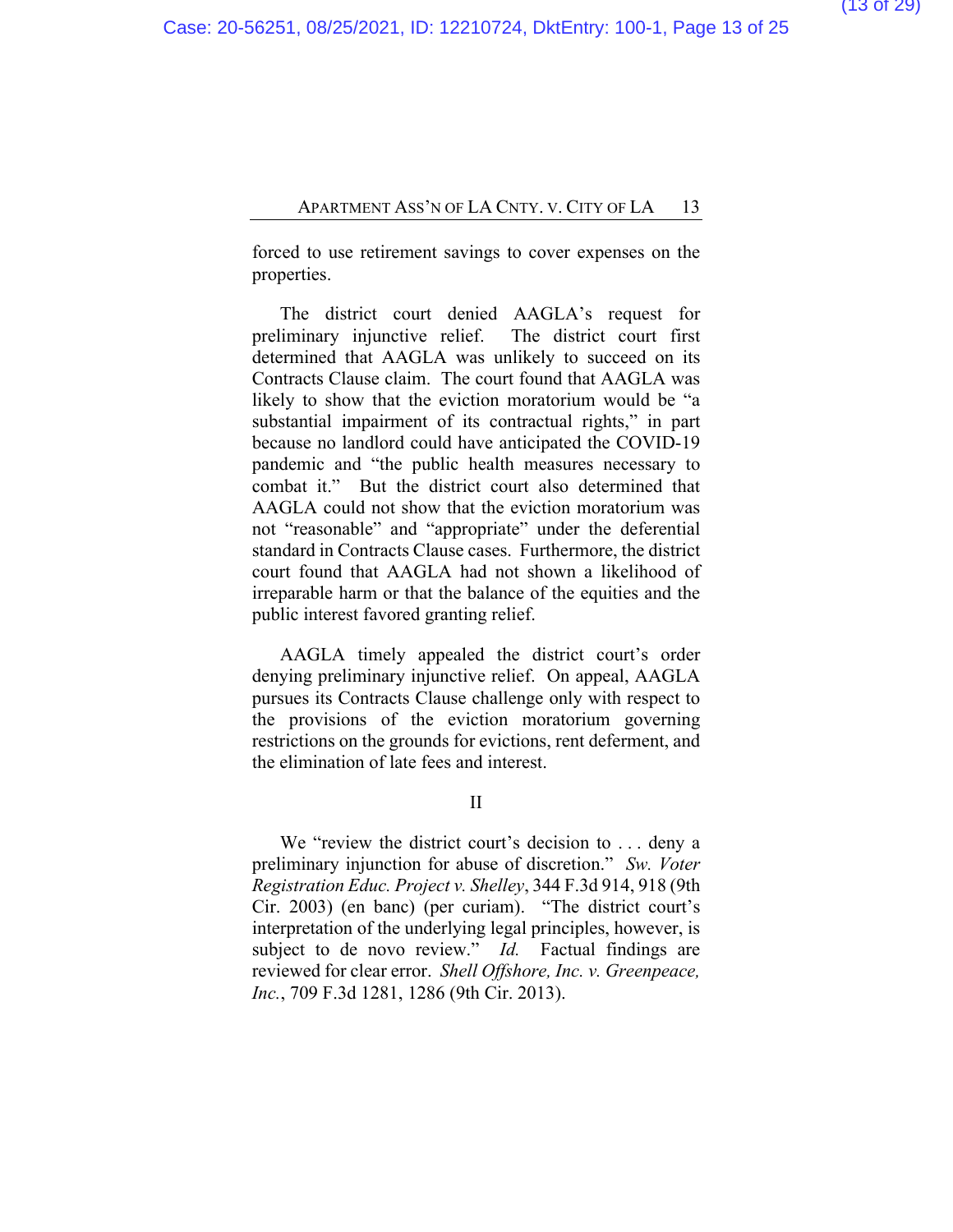forced to use retirement savings to cover expenses on the properties.

The district court denied AAGLA's request for preliminary injunctive relief. The district court first determined that AAGLA was unlikely to succeed on its Contracts Clause claim. The court found that AAGLA was likely to show that the eviction moratorium would be "a substantial impairment of its contractual rights," in part because no landlord could have anticipated the COVID-19 pandemic and "the public health measures necessary to combat it." But the district court also determined that AAGLA could not show that the eviction moratorium was not "reasonable" and "appropriate" under the deferential standard in Contracts Clause cases. Furthermore, the district court found that AAGLA had not shown a likelihood of irreparable harm or that the balance of the equities and the public interest favored granting relief.

AAGLA timely appealed the district court's order denying preliminary injunctive relief. On appeal, AAGLA pursues its Contracts Clause challenge only with respect to the provisions of the eviction moratorium governing restrictions on the grounds for evictions, rent deferment, and the elimination of late fees and interest.

II

We "review the district court's decision to . . . deny a preliminary injunction for abuse of discretion." *Sw. Voter Registration Educ. Project v. Shelley*, 344 F.3d 914, 918 (9th Cir. 2003) (en banc) (per curiam). "The district court's interpretation of the underlying legal principles, however, is subject to de novo review." *Id.* Factual findings are reviewed for clear error. *Shell Offshore, Inc. v. Greenpeace, Inc.*, 709 F.3d 1281, 1286 (9th Cir. 2013).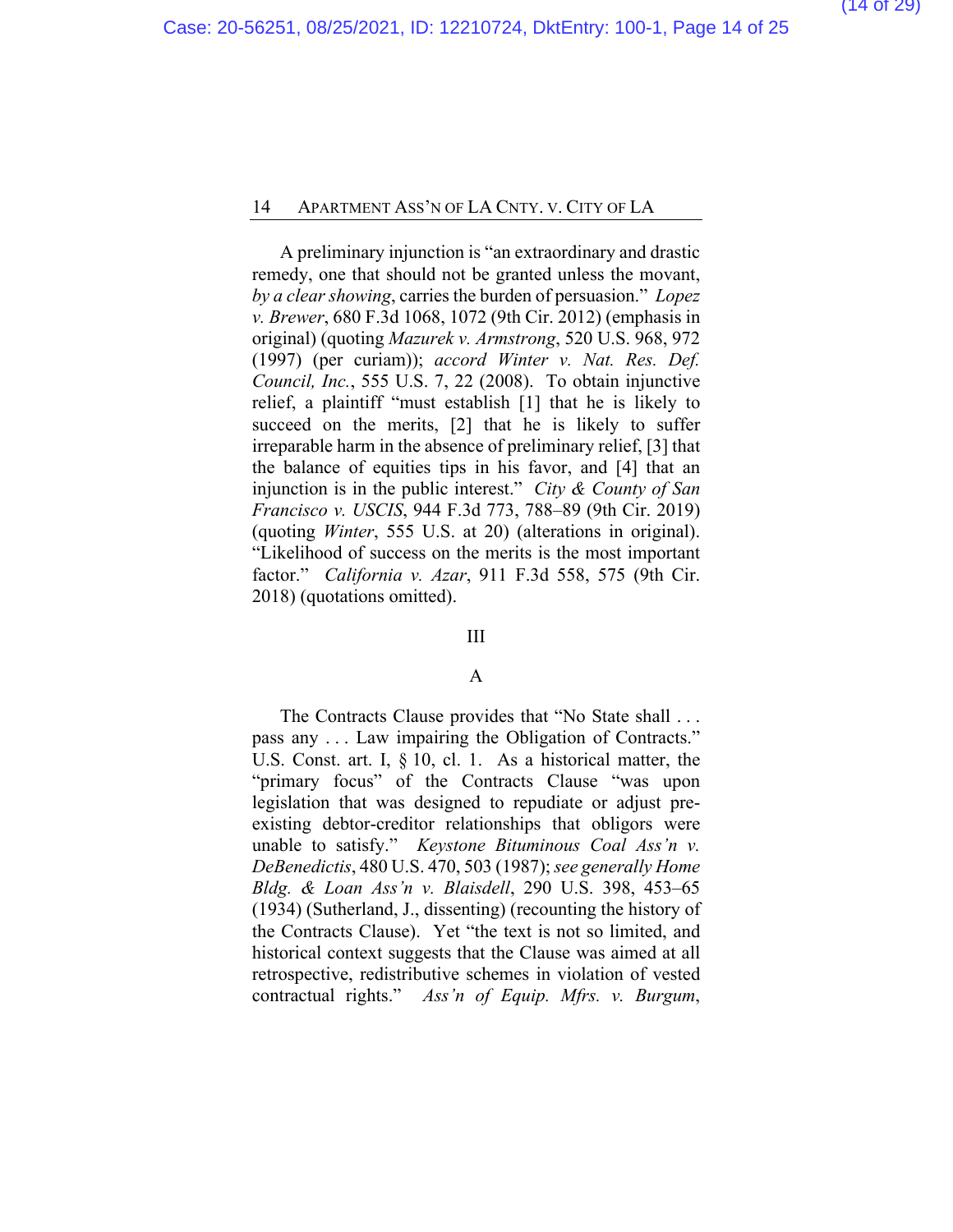A preliminary injunction is "an extraordinary and drastic remedy, one that should not be granted unless the movant, *by a clear showing*, carries the burden of persuasion." *Lopez v. Brewer*, 680 F.3d 1068, 1072 (9th Cir. 2012) (emphasis in original) (quoting *Mazurek v. Armstrong*, 520 U.S. 968, 972 (1997) (per curiam)); *accord Winter v. Nat. Res. Def. Council, Inc.*, 555 U.S. 7, 22 (2008). To obtain injunctive relief, a plaintiff "must establish [1] that he is likely to succeed on the merits, [2] that he is likely to suffer irreparable harm in the absence of preliminary relief, [3] that the balance of equities tips in his favor, and [4] that an injunction is in the public interest." *City & County of San Francisco v. USCIS*, 944 F.3d 773, 788–89 (9th Cir. 2019) (quoting *Winter*, 555 U.S. at 20) (alterations in original). "Likelihood of success on the merits is the most important factor." *California v. Azar*, 911 F.3d 558, 575 (9th Cir. 2018) (quotations omitted).

#### III

#### A

The Contracts Clause provides that "No State shall . . . pass any . . . Law impairing the Obligation of Contracts." U.S. Const. art. I, § 10, cl. 1. As a historical matter, the "primary focus" of the Contracts Clause "was upon legislation that was designed to repudiate or adjust preexisting debtor-creditor relationships that obligors were unable to satisfy." *Keystone Bituminous Coal Ass'n v. DeBenedictis*, 480 U.S. 470, 503 (1987); *see generally Home Bldg. & Loan Ass'n v. Blaisdell*, 290 U.S. 398, 453–65 (1934) (Sutherland, J., dissenting) (recounting the history of the Contracts Clause). Yet "the text is not so limited, and historical context suggests that the Clause was aimed at all retrospective, redistributive schemes in violation of vested contractual rights." *Ass'n of Equip. Mfrs. v. Burgum*,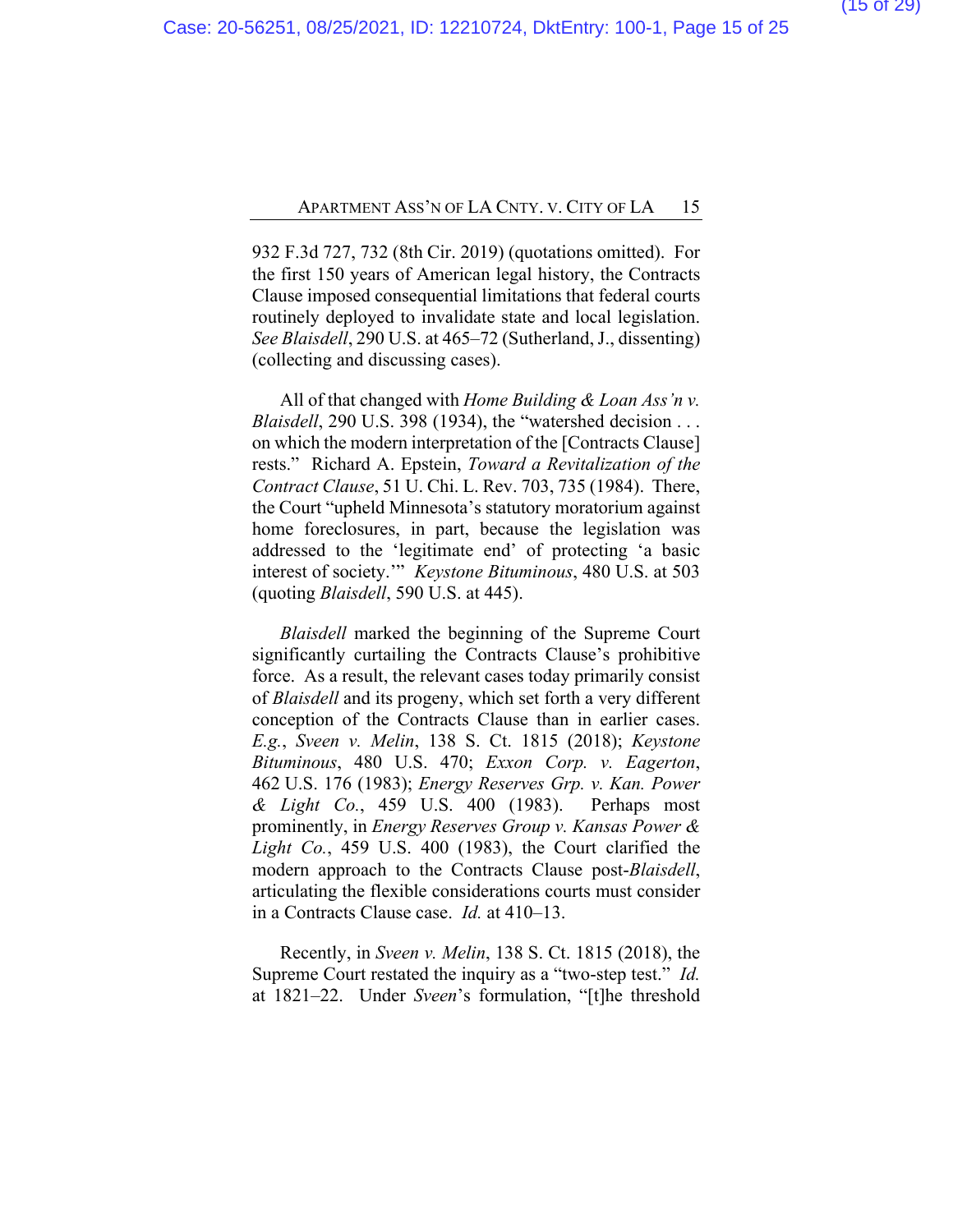932 F.3d 727, 732 (8th Cir. 2019) (quotations omitted). For the first 150 years of American legal history, the Contracts Clause imposed consequential limitations that federal courts routinely deployed to invalidate state and local legislation. *See Blaisdell*, 290 U.S. at 465–72 (Sutherland, J., dissenting) (collecting and discussing cases).

All of that changed with *Home Building & Loan Ass'n v. Blaisdell*, 290 U.S. 398 (1934), the "watershed decision . . . on which the modern interpretation of the [Contracts Clause] rests." Richard A. Epstein, *Toward a Revitalization of the Contract Clause*, 51 U. Chi. L. Rev. 703, 735 (1984). There, the Court "upheld Minnesota's statutory moratorium against home foreclosures, in part, because the legislation was addressed to the 'legitimate end' of protecting 'a basic interest of society.'" *Keystone Bituminous*, 480 U.S. at 503 (quoting *Blaisdell*, 590 U.S. at 445).

*Blaisdell* marked the beginning of the Supreme Court significantly curtailing the Contracts Clause's prohibitive force. As a result, the relevant cases today primarily consist of *Blaisdell* and its progeny, which set forth a very different conception of the Contracts Clause than in earlier cases. *E.g.*, *Sveen v. Melin*, 138 S. Ct. 1815 (2018); *Keystone Bituminous*, 480 U.S. 470; *Exxon Corp. v. Eagerton*, 462 U.S. 176 (1983); *Energy Reserves Grp. v. Kan. Power & Light Co.*, 459 U.S. 400 (1983). Perhaps most prominently, in *Energy Reserves Group v. Kansas Power & Light Co.*, 459 U.S. 400 (1983), the Court clarified the modern approach to the Contracts Clause post-*Blaisdell*, articulating the flexible considerations courts must consider in a Contracts Clause case. *Id.* at 410–13.

Recently, in *Sveen v. Melin*, 138 S. Ct. 1815 (2018), the Supreme Court restated the inquiry as a "two-step test." *Id.* at 1821–22. Under *Sveen*'s formulation, "[t]he threshold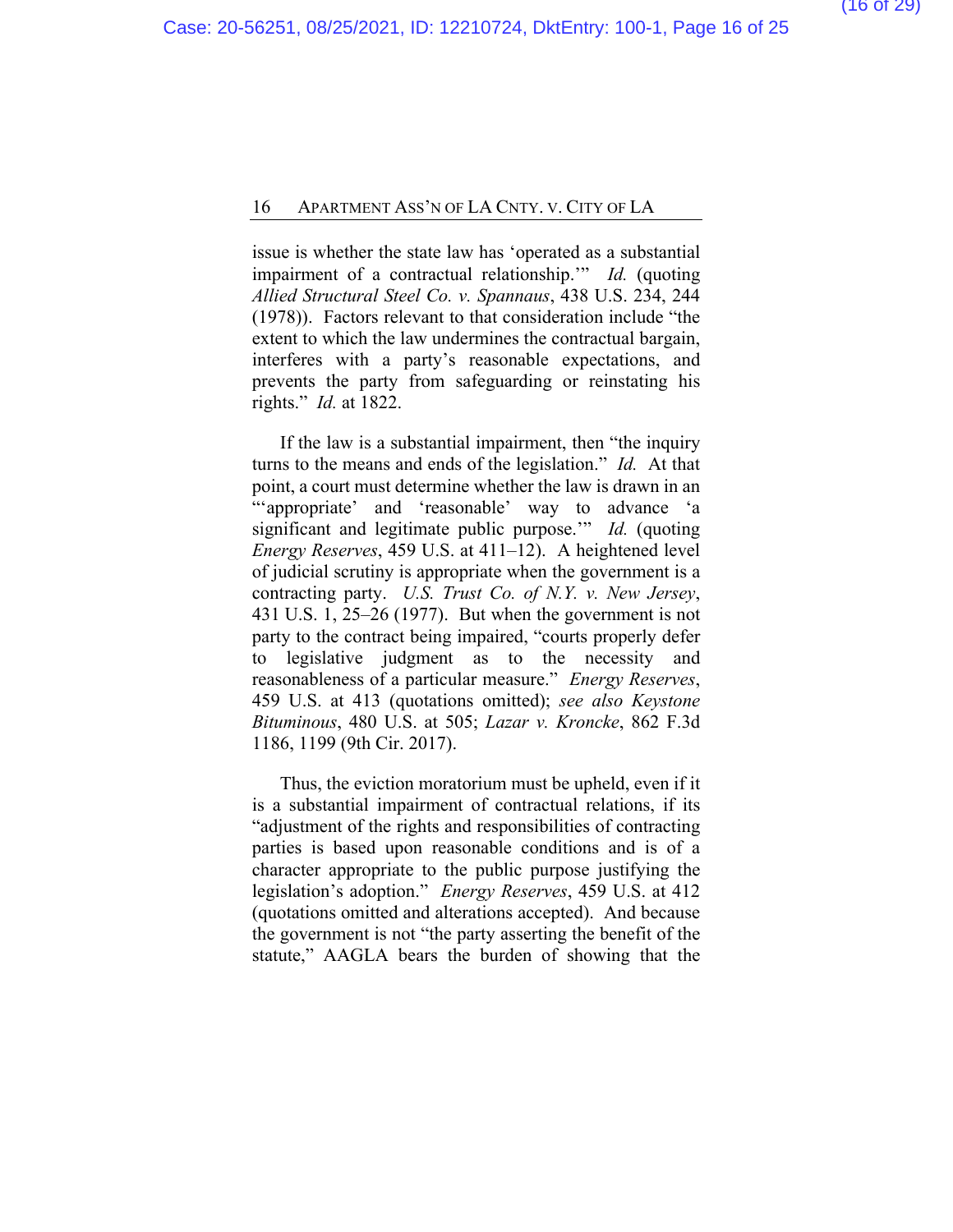issue is whether the state law has 'operated as a substantial impairment of a contractual relationship.'" *Id.* (quoting *Allied Structural Steel Co. v. Spannaus*, 438 U.S. 234, 244 (1978)). Factors relevant to that consideration include "the extent to which the law undermines the contractual bargain, interferes with a party's reasonable expectations, and prevents the party from safeguarding or reinstating his rights." *Id.* at 1822.

If the law is a substantial impairment, then "the inquiry turns to the means and ends of the legislation." *Id.* At that point, a court must determine whether the law is drawn in an "'appropriate' and 'reasonable' way to advance 'a significant and legitimate public purpose.'" *Id.* (quoting *Energy Reserves*, 459 U.S. at 411–12). A heightened level of judicial scrutiny is appropriate when the government is a contracting party. *U.S. Trust Co. of N.Y. v. New Jersey*, 431 U.S. 1, 25–26 (1977). But when the government is not party to the contract being impaired, "courts properly defer to legislative judgment as to the necessity and reasonableness of a particular measure." *Energy Reserves*, 459 U.S. at 413 (quotations omitted); *see also Keystone Bituminous*, 480 U.S. at 505; *Lazar v. Kroncke*, 862 F.3d 1186, 1199 (9th Cir. 2017).

Thus, the eviction moratorium must be upheld, even if it is a substantial impairment of contractual relations, if its "adjustment of the rights and responsibilities of contracting parties is based upon reasonable conditions and is of a character appropriate to the public purpose justifying the legislation's adoption." *Energy Reserves*, 459 U.S. at 412 (quotations omitted and alterations accepted). And because the government is not "the party asserting the benefit of the statute," AAGLA bears the burden of showing that the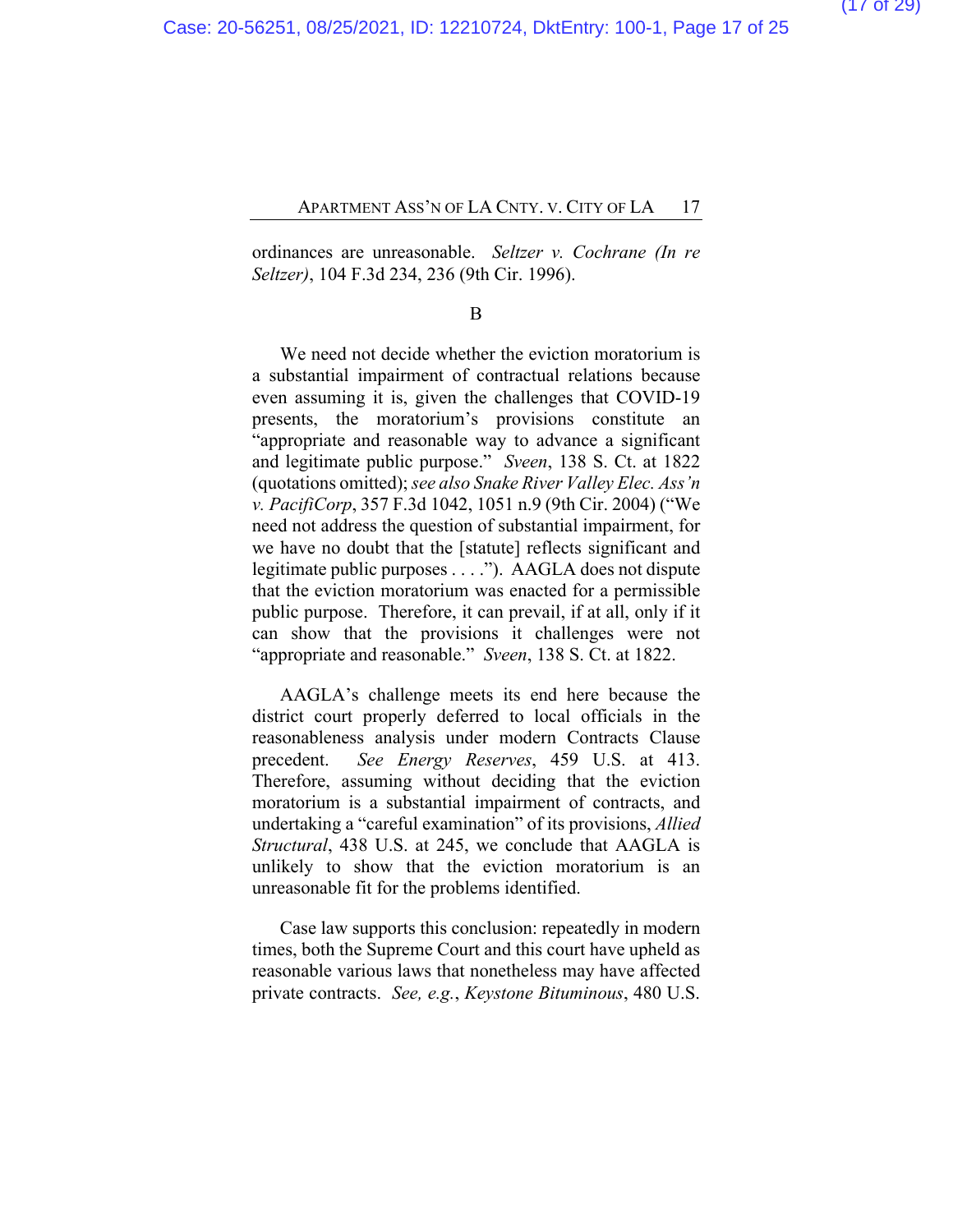ordinances are unreasonable. *Seltzer v. Cochrane (In re Seltzer)*, 104 F.3d 234, 236 (9th Cir. 1996).

#### B

We need not decide whether the eviction moratorium is a substantial impairment of contractual relations because even assuming it is, given the challenges that COVID-19 presents, the moratorium's provisions constitute an "appropriate and reasonable way to advance a significant and legitimate public purpose." *Sveen*, 138 S. Ct. at 1822 (quotations omitted); *see also Snake River Valley Elec. Ass'n v. PacifiCorp*, 357 F.3d 1042, 1051 n.9 (9th Cir. 2004) ("We need not address the question of substantial impairment, for we have no doubt that the [statute] reflects significant and legitimate public purposes . . . ."). AAGLA does not dispute that the eviction moratorium was enacted for a permissible public purpose. Therefore, it can prevail, if at all, only if it can show that the provisions it challenges were not "appropriate and reasonable." *Sveen*, 138 S. Ct. at 1822.

AAGLA's challenge meets its end here because the district court properly deferred to local officials in the reasonableness analysis under modern Contracts Clause precedent. *See Energy Reserves*, 459 U.S. at 413. Therefore, assuming without deciding that the eviction moratorium is a substantial impairment of contracts, and undertaking a "careful examination" of its provisions, *Allied Structural*, 438 U.S. at 245, we conclude that AAGLA is unlikely to show that the eviction moratorium is an unreasonable fit for the problems identified.

Case law supports this conclusion: repeatedly in modern times, both the Supreme Court and this court have upheld as reasonable various laws that nonetheless may have affected private contracts. *See, e.g.*, *Keystone Bituminous*, 480 U.S.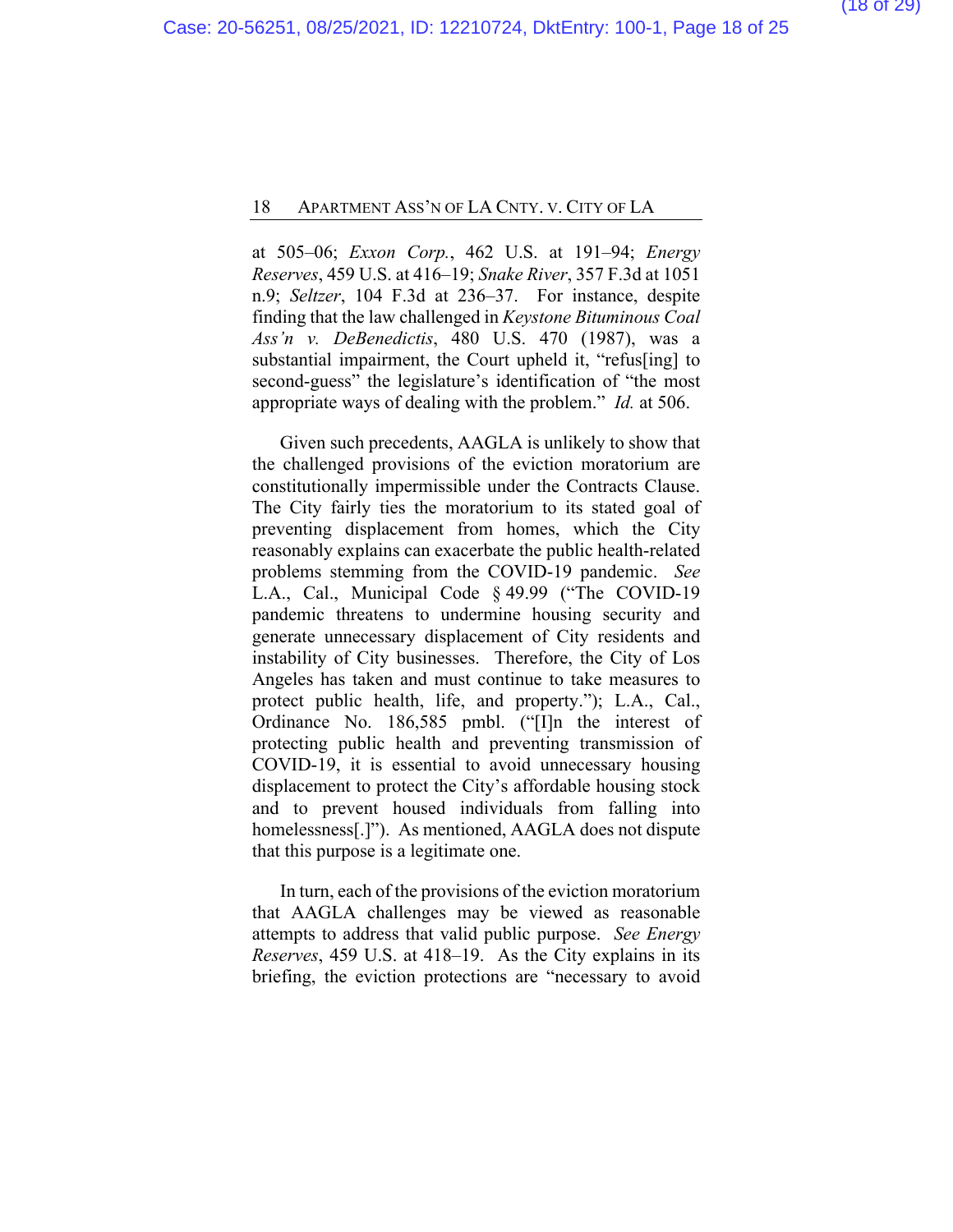at 505–06; *Exxon Corp.*, 462 U.S. at 191–94; *Energy Reserves*, 459 U.S. at 416–19; *Snake River*, 357 F.3d at 1051 n.9; *Seltzer*, 104 F.3d at 236–37. For instance, despite finding that the law challenged in *Keystone Bituminous Coal Ass'n v. DeBenedictis*, 480 U.S. 470 (1987), was a substantial impairment, the Court upheld it, "refus[ing] to second-guess" the legislature's identification of "the most appropriate ways of dealing with the problem." *Id.* at 506.

Given such precedents, AAGLA is unlikely to show that the challenged provisions of the eviction moratorium are constitutionally impermissible under the Contracts Clause. The City fairly ties the moratorium to its stated goal of preventing displacement from homes, which the City reasonably explains can exacerbate the public health-related problems stemming from the COVID-19 pandemic. *See* L.A., Cal., Municipal Code § 49.99 ("The COVID-19 pandemic threatens to undermine housing security and generate unnecessary displacement of City residents and instability of City businesses. Therefore, the City of Los Angeles has taken and must continue to take measures to protect public health, life, and property."); L.A., Cal., Ordinance No. 186,585 pmbl. ("[I]n the interest of protecting public health and preventing transmission of COVID-19, it is essential to avoid unnecessary housing displacement to protect the City's affordable housing stock and to prevent housed individuals from falling into homelessness[.]"). As mentioned, AAGLA does not dispute that this purpose is a legitimate one.

In turn, each of the provisions of the eviction moratorium that AAGLA challenges may be viewed as reasonable attempts to address that valid public purpose. *See Energy Reserves*, 459 U.S. at 418–19. As the City explains in its briefing, the eviction protections are "necessary to avoid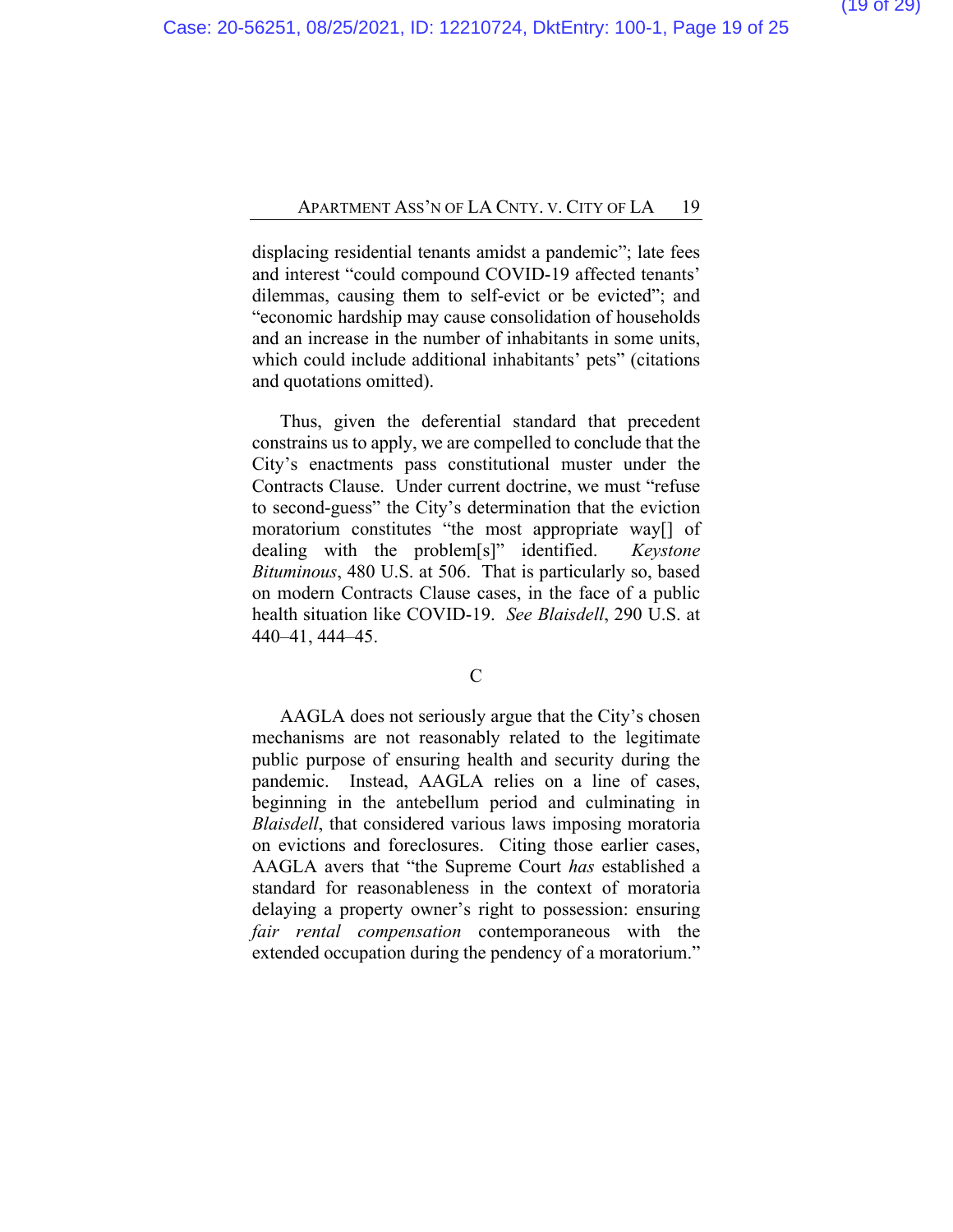displacing residential tenants amidst a pandemic"; late fees and interest "could compound COVID-19 affected tenants' dilemmas, causing them to self-evict or be evicted"; and "economic hardship may cause consolidation of households and an increase in the number of inhabitants in some units, which could include additional inhabitants' pets" (citations and quotations omitted).

Thus, given the deferential standard that precedent constrains us to apply, we are compelled to conclude that the City's enactments pass constitutional muster under the Contracts Clause. Under current doctrine, we must "refuse to second-guess" the City's determination that the eviction moratorium constitutes "the most appropriate way[] of dealing with the problem[s]" identified. *Keystone Bituminous*, 480 U.S. at 506. That is particularly so, based on modern Contracts Clause cases, in the face of a public health situation like COVID-19. *See Blaisdell*, 290 U.S. at 440–41, 444–45.

C

AAGLA does not seriously argue that the City's chosen mechanisms are not reasonably related to the legitimate public purpose of ensuring health and security during the pandemic. Instead, AAGLA relies on a line of cases, beginning in the antebellum period and culminating in *Blaisdell*, that considered various laws imposing moratoria on evictions and foreclosures. Citing those earlier cases, AAGLA avers that "the Supreme Court *has* established a standard for reasonableness in the context of moratoria delaying a property owner's right to possession: ensuring *fair rental compensation* contemporaneous with the extended occupation during the pendency of a moratorium."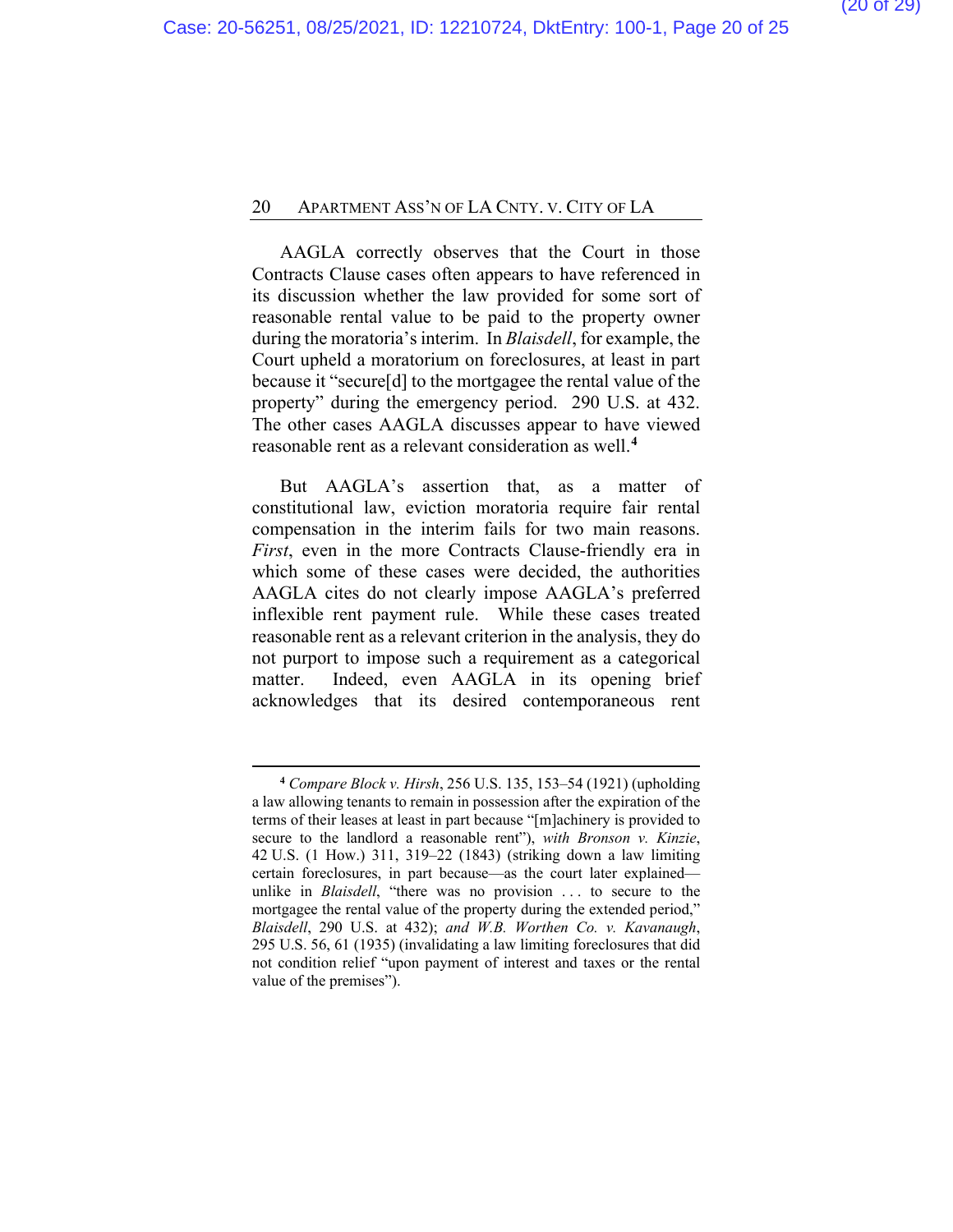AAGLA correctly observes that the Court in those Contracts Clause cases often appears to have referenced in its discussion whether the law provided for some sort of reasonable rental value to be paid to the property owner during the moratoria's interim. In *Blaisdell*, for example, the Court upheld a moratorium on foreclosures, at least in part because it "secure[d] to the mortgagee the rental value of the property" during the emergency period. 290 U.S. at 432. The other cases AAGLA discusses appear to have viewed reasonable rent as a relevant consideration as well.**[4](#page-23-0)**

But AAGLA's assertion that, as a matter of constitutional law, eviction moratoria require fair rental compensation in the interim fails for two main reasons. *First*, even in the more Contracts Clause-friendly era in which some of these cases were decided, the authorities AAGLA cites do not clearly impose AAGLA's preferred inflexible rent payment rule. While these cases treated reasonable rent as a relevant criterion in the analysis, they do not purport to impose such a requirement as a categorical matter. Indeed, even AAGLA in its opening brief acknowledges that its desired contemporaneous rent

**<sup>4</sup>** *Compare Block v. Hirsh*, 256 U.S. 135, 153–54 (1921) (upholding a law allowing tenants to remain in possession after the expiration of the terms of their leases at least in part because "[m]achinery is provided to secure to the landlord a reasonable rent"), *with Bronson v. Kinzie*, 42 U.S. (1 How.) 311, 319–22 (1843) (striking down a law limiting certain foreclosures, in part because—as the court later explained unlike in *Blaisdell*, "there was no provision . . . to secure to the mortgagee the rental value of the property during the extended period," *Blaisdell*, 290 U.S. at 432); *and W.B. Worthen Co. v. Kavanaugh*, 295 U.S. 56, 61 (1935) (invalidating a law limiting foreclosures that did not condition relief "upon payment of interest and taxes or the rental value of the premises").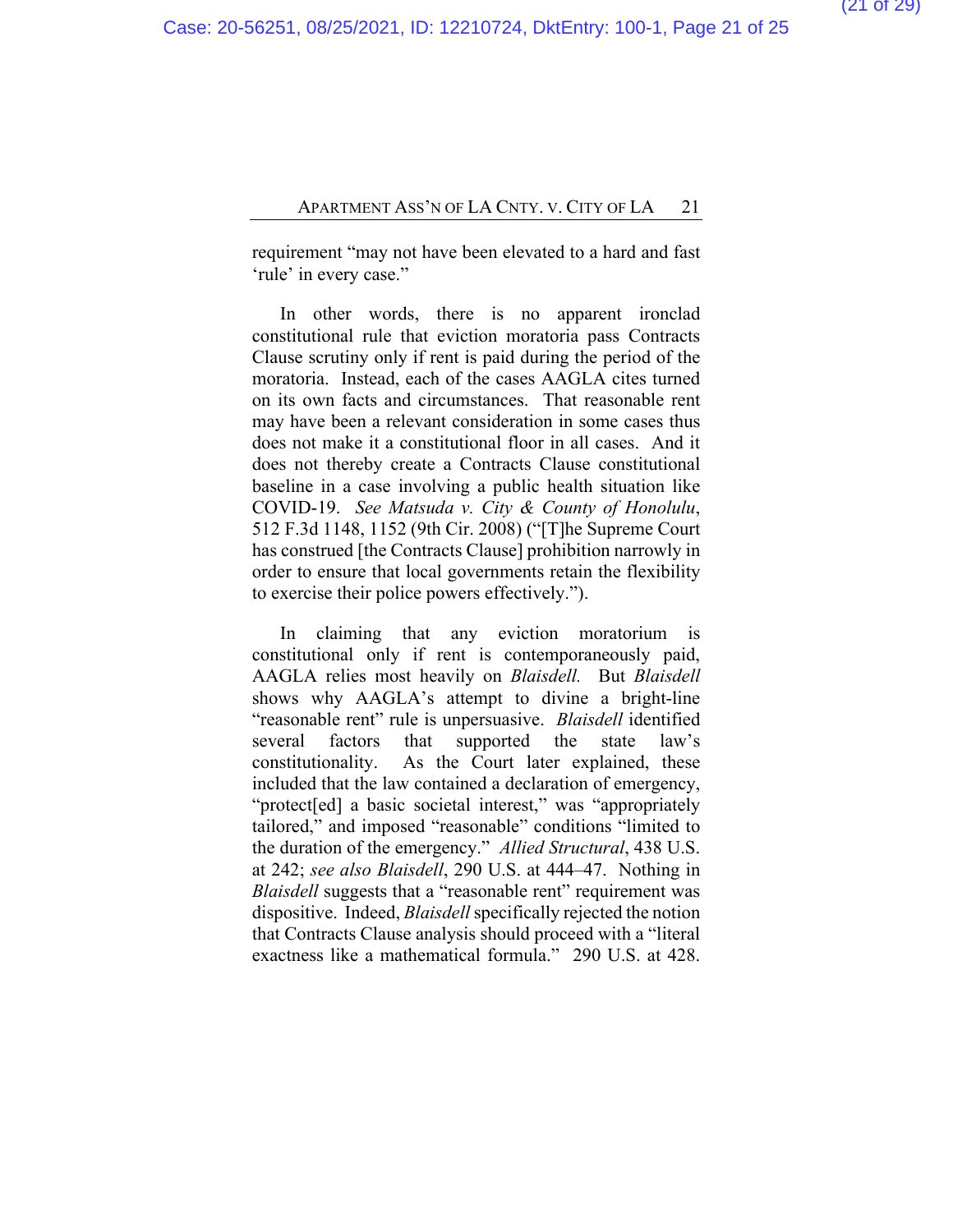requirement "may not have been elevated to a hard and fast 'rule' in every case."

In other words, there is no apparent ironclad constitutional rule that eviction moratoria pass Contracts Clause scrutiny only if rent is paid during the period of the moratoria. Instead, each of the cases AAGLA cites turned on its own facts and circumstances. That reasonable rent may have been a relevant consideration in some cases thus does not make it a constitutional floor in all cases. And it does not thereby create a Contracts Clause constitutional baseline in a case involving a public health situation like COVID-19. *See Matsuda v. City & County of Honolulu*, 512 F.3d 1148, 1152 (9th Cir. 2008) ("[T]he Supreme Court has construed [the Contracts Clause] prohibition narrowly in order to ensure that local governments retain the flexibility to exercise their police powers effectively.").

In claiming that any eviction moratorium is constitutional only if rent is contemporaneously paid, AAGLA relies most heavily on *Blaisdell.* But *Blaisdell* shows why AAGLA's attempt to divine a bright-line "reasonable rent" rule is unpersuasive. *Blaisdell* identified several factors that supported the state law's constitutionality. As the Court later explained, these included that the law contained a declaration of emergency, "protect[ed] a basic societal interest," was "appropriately tailored," and imposed "reasonable" conditions "limited to the duration of the emergency." *Allied Structural*, 438 U.S. at 242; *see also Blaisdell*, 290 U.S. at 444–47. Nothing in *Blaisdell* suggests that a "reasonable rent" requirement was dispositive. Indeed, *Blaisdell*specifically rejected the notion that Contracts Clause analysis should proceed with a "literal exactness like a mathematical formula." 290 U.S. at 428.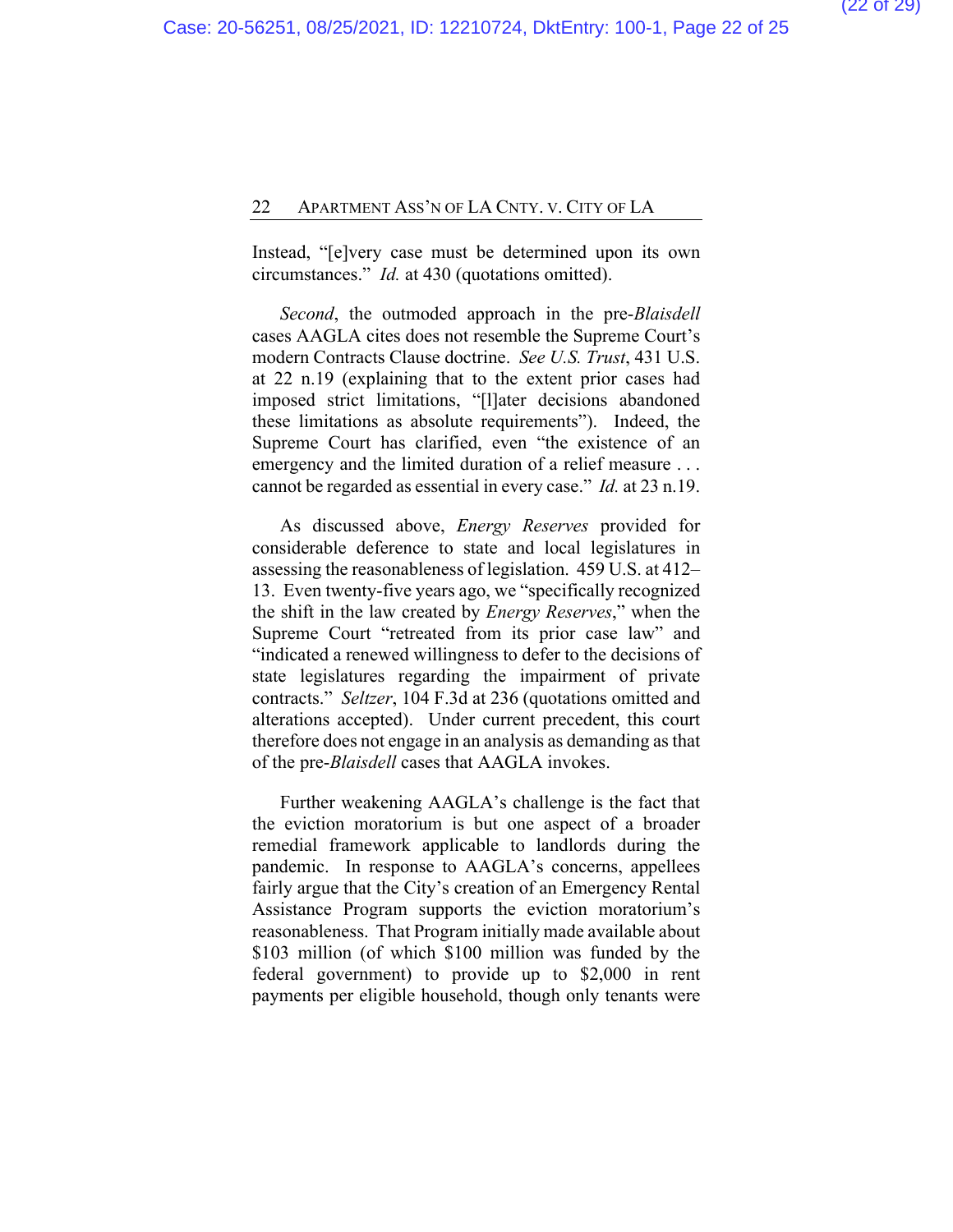Instead, "[e]very case must be determined upon its own circumstances." *Id.* at 430 (quotations omitted).

*Second*, the outmoded approach in the pre-*Blaisdell* cases AAGLA cites does not resemble the Supreme Court's modern Contracts Clause doctrine. *See U.S. Trust*, 431 U.S. at 22 n.19 (explaining that to the extent prior cases had imposed strict limitations, "[l]ater decisions abandoned these limitations as absolute requirements"). Indeed, the Supreme Court has clarified, even "the existence of an emergency and the limited duration of a relief measure . . . cannot be regarded as essential in every case." *Id.* at 23 n.19.

As discussed above, *Energy Reserves* provided for considerable deference to state and local legislatures in assessing the reasonableness of legislation. 459 U.S. at 412– 13. Even twenty-five years ago, we "specifically recognized the shift in the law created by *Energy Reserves*," when the Supreme Court "retreated from its prior case law" and "indicated a renewed willingness to defer to the decisions of state legislatures regarding the impairment of private contracts." *Seltzer*, 104 F.3d at 236 (quotations omitted and alterations accepted). Under current precedent, this court therefore does not engage in an analysis as demanding as that of the pre-*Blaisdell* cases that AAGLA invokes.

Further weakening AAGLA's challenge is the fact that the eviction moratorium is but one aspect of a broader remedial framework applicable to landlords during the pandemic. In response to AAGLA's concerns, appellees fairly argue that the City's creation of an Emergency Rental Assistance Program supports the eviction moratorium's reasonableness. That Program initially made available about \$103 million (of which \$100 million was funded by the federal government) to provide up to \$2,000 in rent payments per eligible household, though only tenants were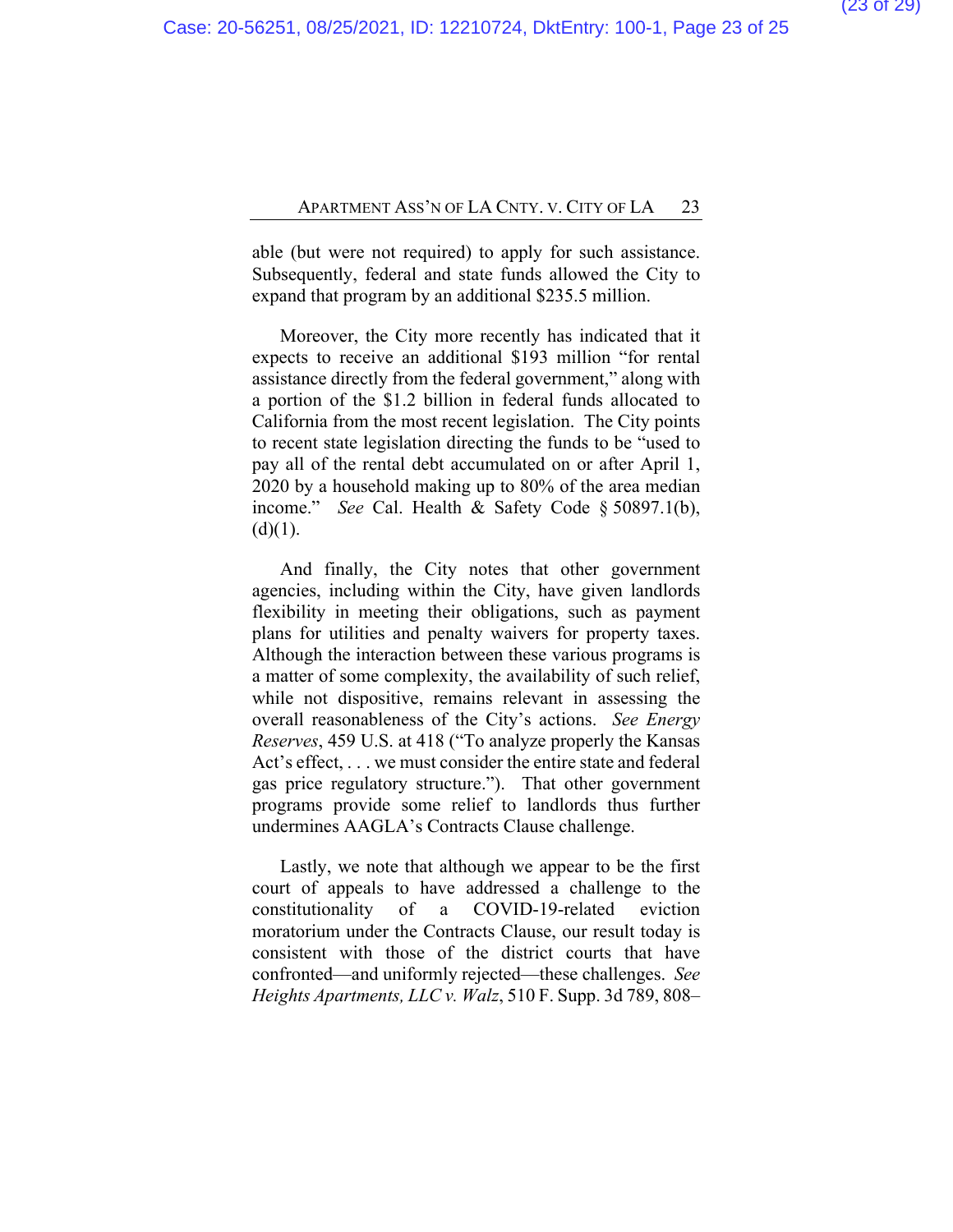able (but were not required) to apply for such assistance. Subsequently, federal and state funds allowed the City to expand that program by an additional \$235.5 million.

Moreover, the City more recently has indicated that it expects to receive an additional \$193 million "for rental assistance directly from the federal government," along with a portion of the \$1.2 billion in federal funds allocated to California from the most recent legislation. The City points to recent state legislation directing the funds to be "used to pay all of the rental debt accumulated on or after April 1, 2020 by a household making up to 80% of the area median income." *See* Cal. Health & Safety Code § 50897.1(b),  $(d)(1)$ .

And finally, the City notes that other government agencies, including within the City, have given landlords flexibility in meeting their obligations, such as payment plans for utilities and penalty waivers for property taxes. Although the interaction between these various programs is a matter of some complexity, the availability of such relief, while not dispositive, remains relevant in assessing the overall reasonableness of the City's actions. *See Energy Reserves*, 459 U.S. at 418 ("To analyze properly the Kansas Act's effect, . . . we must consider the entire state and federal gas price regulatory structure."). That other government programs provide some relief to landlords thus further undermines AAGLA's Contracts Clause challenge.

Lastly, we note that although we appear to be the first court of appeals to have addressed a challenge to the constitutionality of a COVID-19-related eviction moratorium under the Contracts Clause, our result today is consistent with those of the district courts that have confronted—and uniformly rejected—these challenges. *See Heights Apartments, LLC v. Walz*, 510 F. Supp. 3d 789, 808–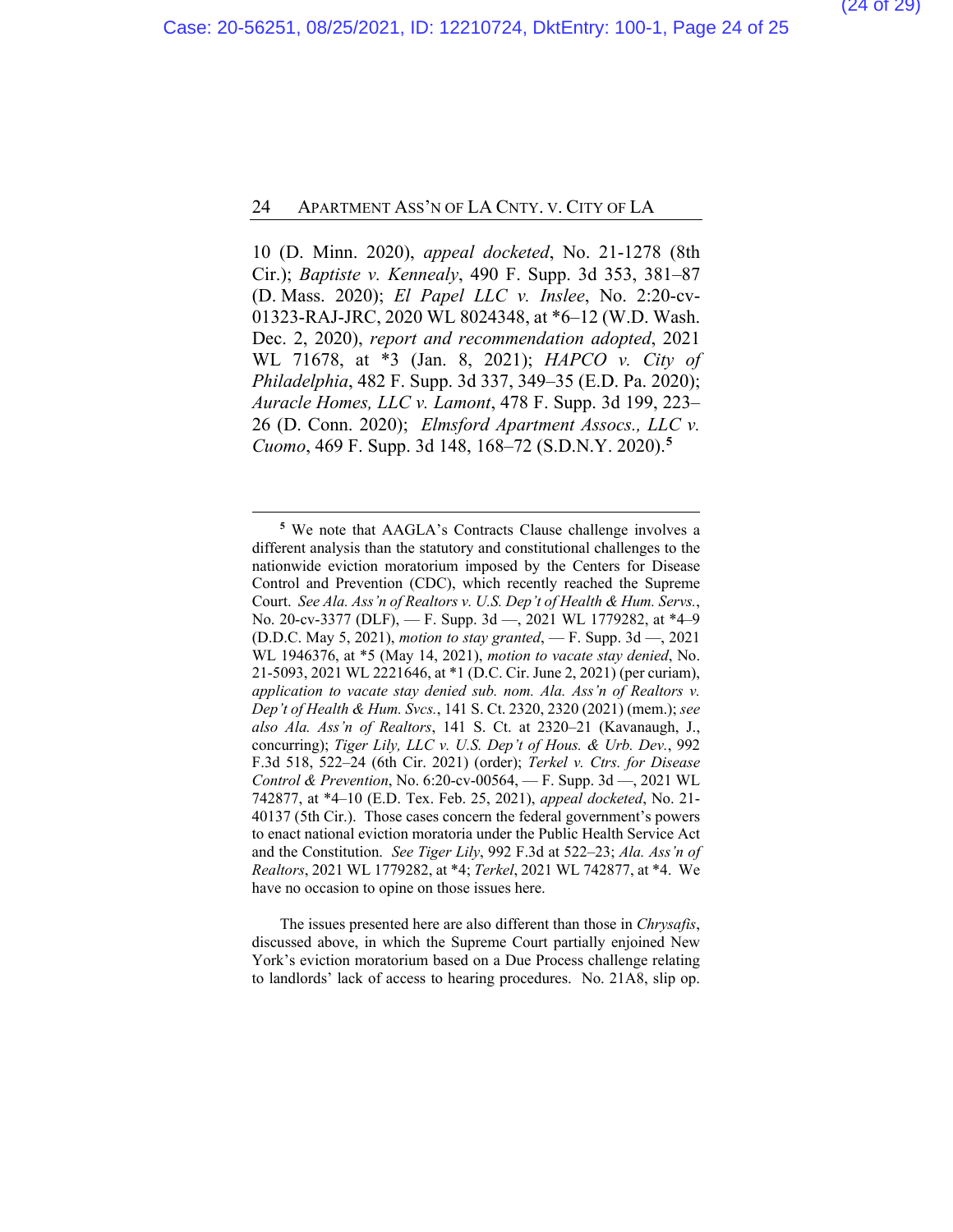10 (D. Minn. 2020), *appeal docketed*, No. 21-1278 (8th Cir.); *Baptiste v. Kennealy*, 490 F. Supp. 3d 353, 381–87 (D. Mass. 2020); *El Papel LLC v. Inslee*, No. 2:20-cv-01323-RAJ-JRC, 2020 WL 8024348, at \*6–12 (W.D. Wash. Dec. 2, 2020), *report and recommendation adopted*, 2021 WL 71678, at \*3 (Jan. 8, 2021); *HAPCO v. City of Philadelphia*, 482 F. Supp. 3d 337, 349–35 (E.D. Pa. 2020); *Auracle Homes, LLC v. Lamont*, 478 F. Supp. 3d 199, 223– 26 (D. Conn. 2020); *Elmsford Apartment Assocs., LLC v. Cuomo*, 469 F. Supp. 3d 148, 168–72 (S.D.N.Y. 2020).**[5](#page-23-0)**

The issues presented here are also different than those in *Chrysafis*, discussed above, in which the Supreme Court partially enjoined New York's eviction moratorium based on a Due Process challenge relating to landlords' lack of access to hearing procedures. No. 21A8, slip op.

<span id="page-23-0"></span>**<sup>5</sup>** We note that AAGLA's Contracts Clause challenge involves a different analysis than the statutory and constitutional challenges to the nationwide eviction moratorium imposed by the Centers for Disease Control and Prevention (CDC), which recently reached the Supreme Court. *See Ala. Ass'n of Realtors v. U.S. Dep't of Health & Hum. Servs.*, No. 20-cv-3377 (DLF), — F. Supp. 3d —, 2021 WL 1779282, at \*4–9 (D.D.C. May 5, 2021), *motion to stay granted*, — F. Supp. 3d —, 2021 WL 1946376, at \*5 (May 14, 2021), *motion to vacate stay denied*, No. 21-5093, 2021 WL 2221646, at \*1 (D.C. Cir. June 2, 2021) (per curiam), *application to vacate stay denied sub. nom. Ala. Ass'n of Realtors v. Dep't of Health & Hum. Svcs.*, 141 S. Ct. 2320, 2320 (2021) (mem.); *see also Ala. Ass'n of Realtors*, 141 S. Ct. at 2320–21 (Kavanaugh, J., concurring); *Tiger Lily, LLC v. U.S. Dep't of Hous. & Urb. Dev.*, 992 F.3d 518, 522–24 (6th Cir. 2021) (order); *Terkel v. Ctrs. for Disease Control & Prevention*, No. 6:20-cv-00564, — F. Supp. 3d —, 2021 WL 742877, at \*4–10 (E.D. Tex. Feb. 25, 2021), *appeal docketed*, No. 21- 40137 (5th Cir.). Those cases concern the federal government's powers to enact national eviction moratoria under the Public Health Service Act and the Constitution. *See Tiger Lily*, 992 F.3d at 522–23; *Ala. Ass'n of Realtors*, 2021 WL 1779282, at \*4; *Terkel*, 2021 WL 742877, at \*4. We have no occasion to opine on those issues here.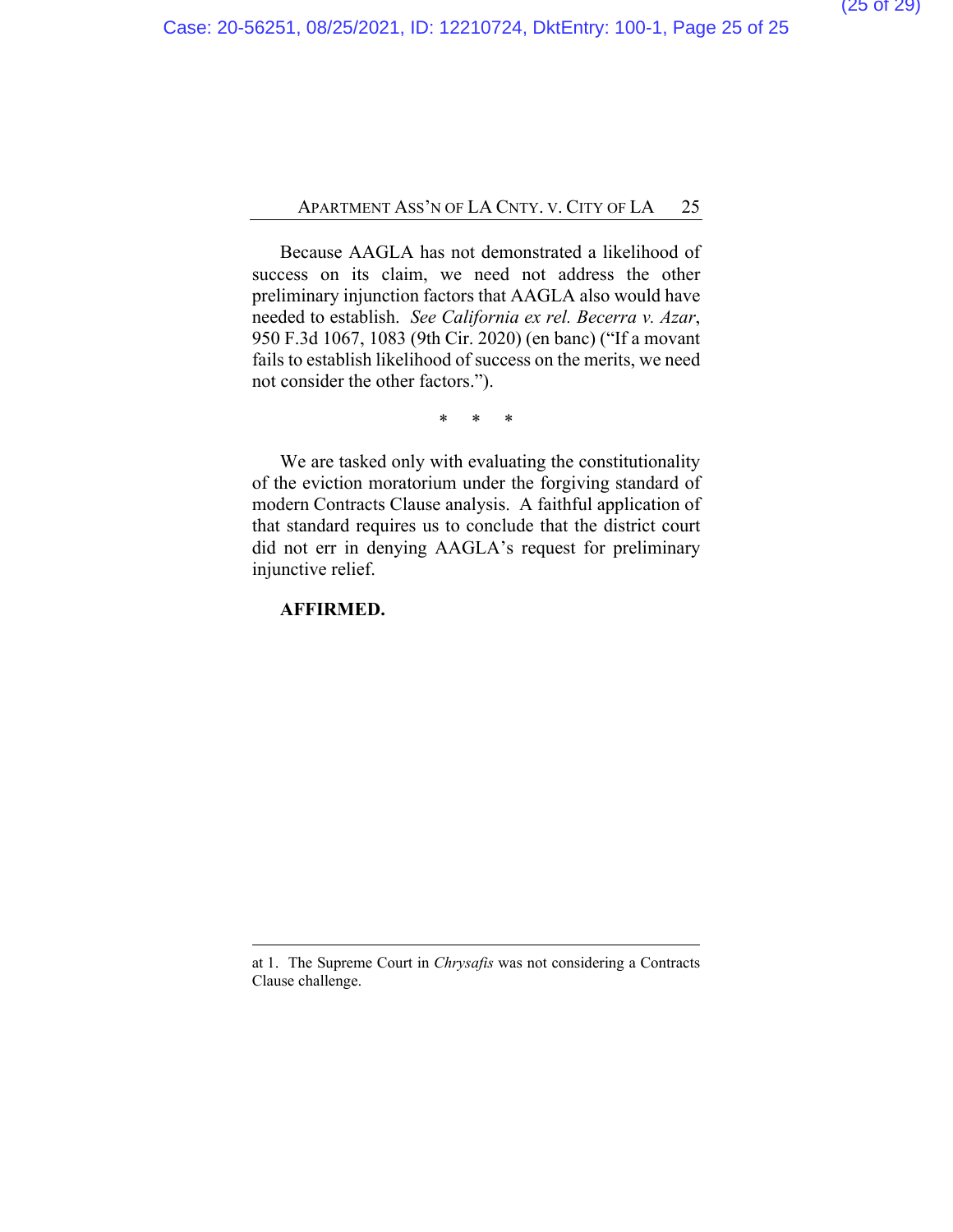Because AAGLA has not demonstrated a likelihood of success on its claim, we need not address the other preliminary injunction factors that AAGLA also would have needed to establish. *See California ex rel. Becerra v. Azar*, 950 F.3d 1067, 1083 (9th Cir. 2020) (en banc) ("If a movant fails to establish likelihood of success on the merits, we need not consider the other factors.").

\* \* \*

We are tasked only with evaluating the constitutionality of the eviction moratorium under the forgiving standard of modern Contracts Clause analysis. A faithful application of that standard requires us to conclude that the district court did not err in denying AAGLA's request for preliminary injunctive relief.

#### **AFFIRMED.**

at 1. The Supreme Court in *Chrysafis* was not considering a Contracts Clause challenge.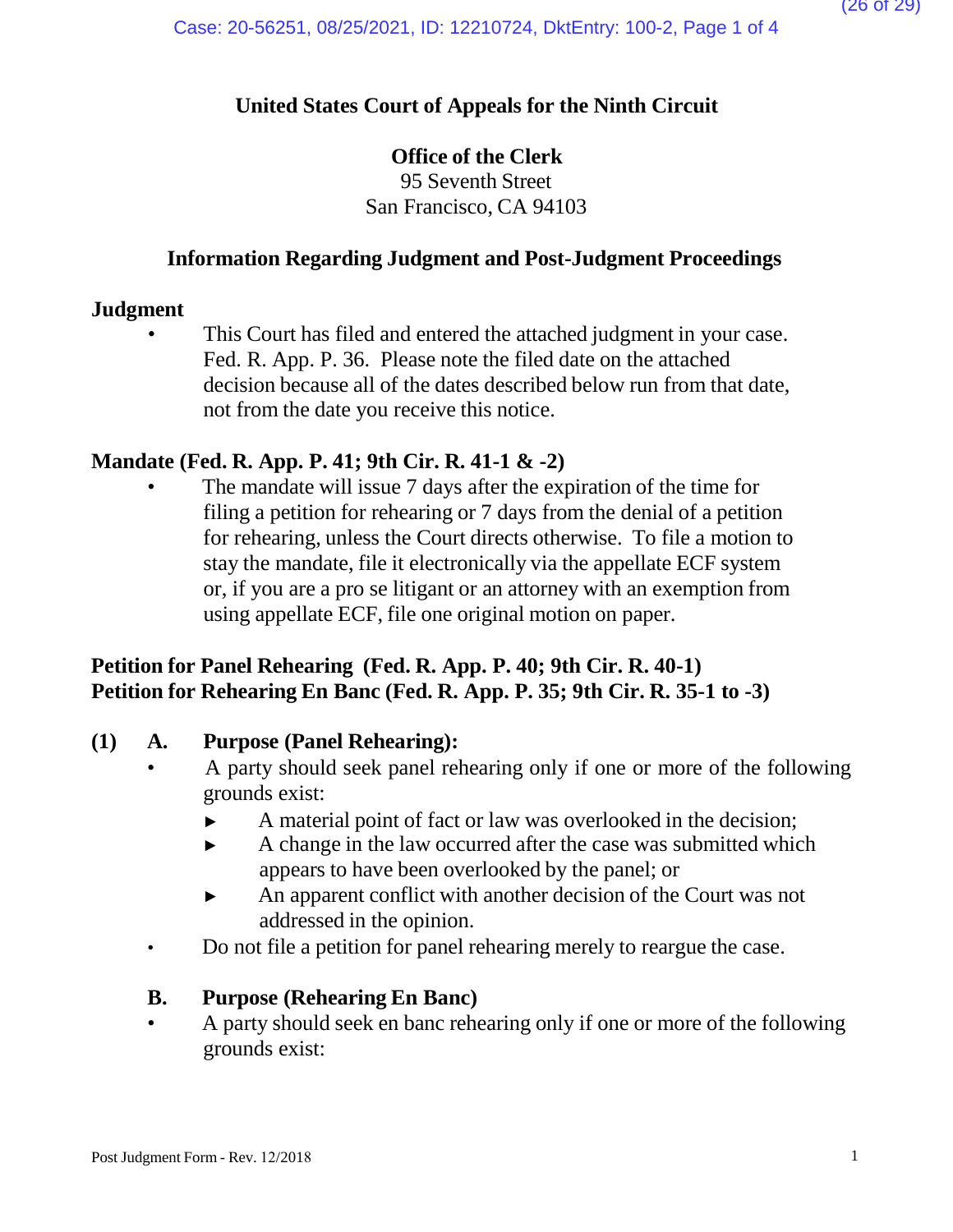## **United States Court of Appeals for the Ninth Circuit**

## **Office of the Clerk**

95 Seventh Street San Francisco, CA 94103

## **Information Regarding Judgment and Post-Judgment Proceedings**

### **Judgment**

This Court has filed and entered the attached judgment in your case. Fed. R. App. P. 36. Please note the filed date on the attached decision because all of the dates described below run from that date, not from the date you receive this notice.

## **Mandate (Fed. R. App. P. 41; 9th Cir. R. 41-1 & -2)**

The mandate will issue 7 days after the expiration of the time for filing a petition for rehearing or 7 days from the denial of a petition for rehearing, unless the Court directs otherwise. To file a motion to stay the mandate, file it electronically via the appellate ECF system or, if you are a pro se litigant or an attorney with an exemption from using appellate ECF, file one original motion on paper.

## **Petition for Panel Rehearing (Fed. R. App. P. 40; 9th Cir. R. 40-1) Petition for Rehearing En Banc (Fed. R. App. P. 35; 9th Cir. R. 35-1 to -3)**

### **(1) A. Purpose (Panel Rehearing):**

- A party should seek panel rehearing only if one or more of the following grounds exist:
	- ► A material point of fact or law was overlooked in the decision;
	- ► A change in the law occurred after the case was submitted which appears to have been overlooked by the panel; or
	- ► An apparent conflict with another decision of the Court was not addressed in the opinion.
- Do not file a petition for panel rehearing merely to reargue the case.

### **B. Purpose (Rehearing En Banc)**

• A party should seek en banc rehearing only if one or more of the following grounds exist: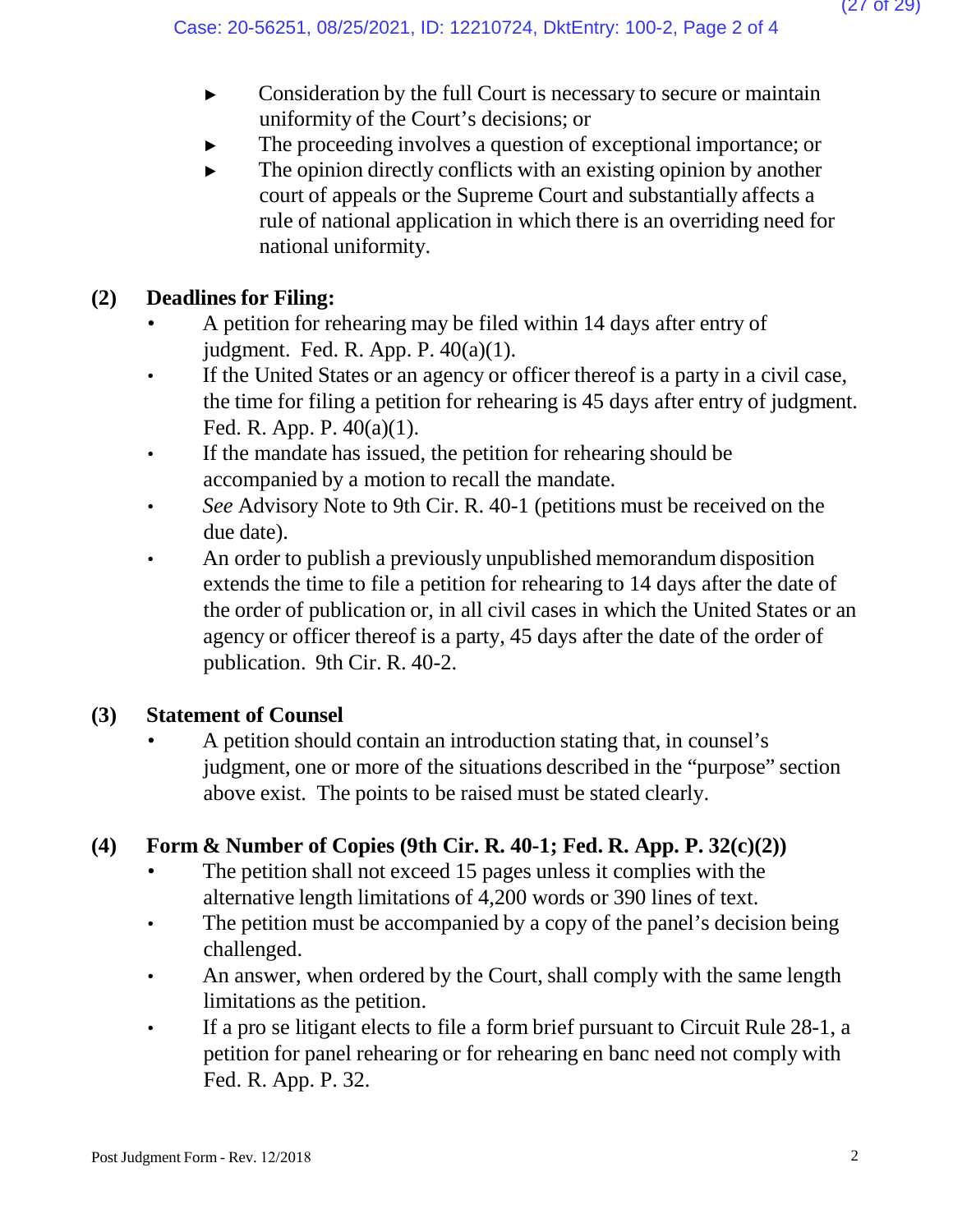- ► Consideration by the full Court is necessary to secure or maintain uniformity of the Court's decisions; or
- The proceeding involves a question of exceptional importance; or
- $\blacktriangleright$  The opinion directly conflicts with an existing opinion by another court of appeals or the Supreme Court and substantially affects a rule of national application in which there is an overriding need for national uniformity.

# **(2) Deadlines for Filing:**

- A petition for rehearing may be filed within 14 days after entry of judgment. Fed. R. App. P. 40(a)(1).
- If the United States or an agency or officer thereof is a party in a civil case, the time for filing a petition for rehearing is 45 days after entry of judgment. Fed. R. App. P. 40(a)(1).
- If the mandate has issued, the petition for rehearing should be accompanied by a motion to recall the mandate.
- *See* Advisory Note to 9th Cir. R. 40-1 (petitions must be received on the due date).
- An order to publish a previously unpublished memorandum disposition extends the time to file a petition for rehearing to 14 days after the date of the order of publication or, in all civil cases in which the United States or an agency or officer thereof is a party, 45 days after the date of the order of publication. 9th Cir. R. 40-2.

# **(3) Statement of Counsel**

• A petition should contain an introduction stating that, in counsel's judgment, one or more of the situations described in the "purpose" section above exist. The points to be raised must be stated clearly.

# **(4) Form & Number of Copies (9th Cir. R. 40-1; Fed. R. App. P. 32(c)(2))**

- The petition shall not exceed 15 pages unless it complies with the alternative length limitations of 4,200 words or 390 lines of text.
- The petition must be accompanied by a copy of the panel's decision being challenged.
- An answer, when ordered by the Court, shall comply with the same length limitations as the petition.
- If a pro se litigant elects to file a form brief pursuant to Circuit Rule 28-1, a petition for panel rehearing or for rehearing en banc need not comply with Fed. R. App. P. 32.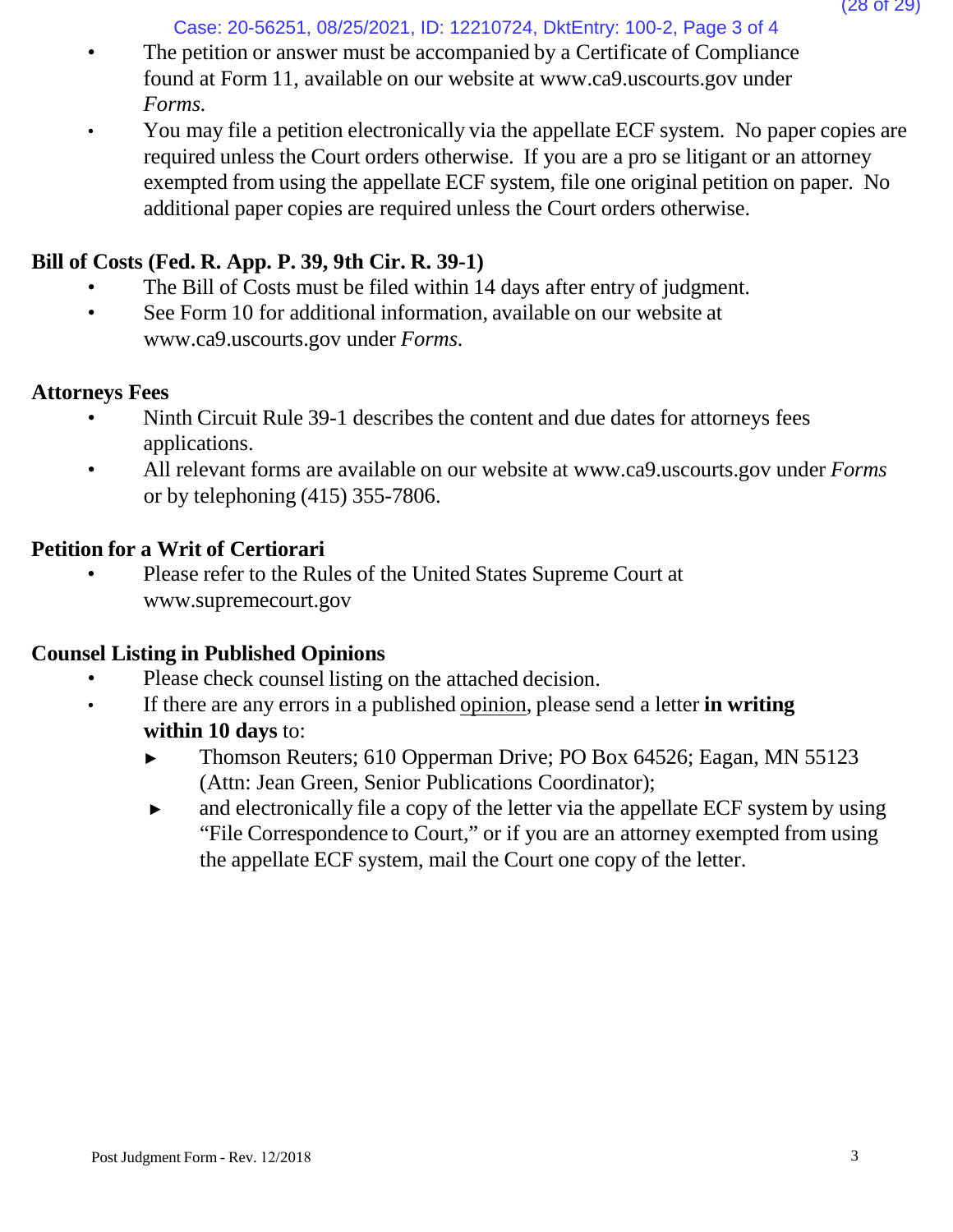Case: 20-56251, 08/25/2021, ID: 12210724, DktEntry: 100-2, Page 3 of 4

- The petition or answer must be accompanied by a Certificate of Compliance found at Form 11, available on our website [at www.ca9.uscourts.gov](http://www.ca9.uscourts.gov/) under *Forms.*
- You may file a petition electronically via the appellate ECF system. No paper copies are required unless the Court orders otherwise. If you are a pro se litigant or an attorney exempted from using the appellate ECF system, file one original petition on paper. No additional paper copies are required unless the Court orders otherwise.

# **Bill of Costs (Fed. R. App. P. 39, 9th Cir. R. 39-1)**

- The Bill of Costs must be filed within 14 days after entry of judgment.
- See Form 10 for addi[t](http://www.ca9.uscourts.gov/)ional information, available on our website at [www.ca9.uscourts.gov](http://www.ca9.uscourts.gov/) under *Forms.*

## **Attorneys Fees**

- Ninth Circuit Rule 39-1 describes the content and due dates for attorneys fees applications.
- All relevant forms are available on our website at [www.ca9.uscourts.gov](http://www.ca9.uscourts.gov/) under *Forms* or by telephoning (415) 355-7806.

# **Petition for a Writ of Certiorari**

• Please refer to the Rules of the United States Supreme Court a[t](http://www.supremecourt.gov/) [www.supremecourt.gov](http://www.supremecourt.gov/)

# **Counsel Listing in Published Opinions**

- Please check counsel listing on the attached decision.
- If there are any errors in a published opinion, please send a letter **in writing within 10 days** to:
	- ► Thomson Reuters; 610 Opperman Drive; PO Box 64526; Eagan, MN 55123 (Attn: Jean Green, Senior Publications Coordinator);
	- ► and electronically file a copy of the letter via the appellate ECF system by using "File Correspondence to Court," or if you are an attorney exempted from using the appellate ECF system, mail the Court one copy of the letter.